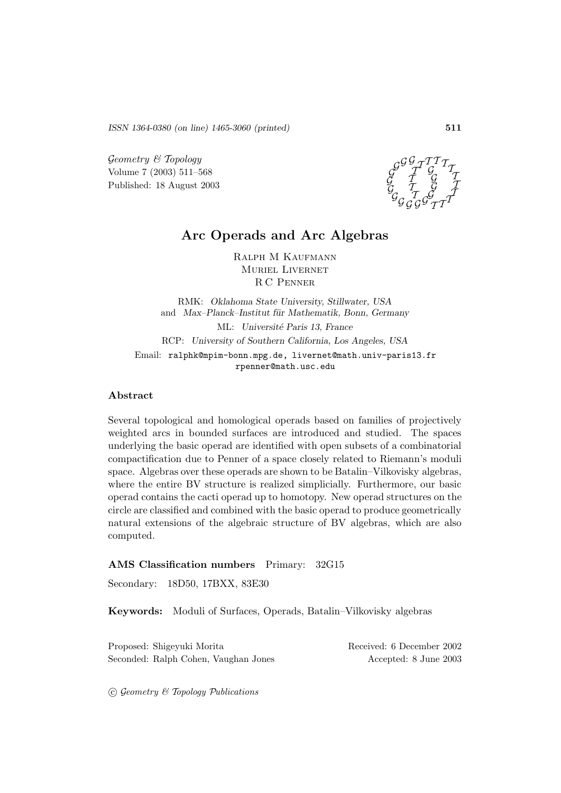*ISSN 1364-0380 (on line) 1465-3060 (printed)* **511**

 $Geometry \& Topology$ Volume 7 (2003) 511–568 Published: 18 August 2003

G G  $\mathcal{G}% _{A}^{\prime}(t)$  $^{\prime\!{\cal G}}_G$ g $^{\prime\!{\cal G}}_G$  $\cal G$  $\mathcal{G}% _{ab}$  $\mathcal{G}$  $\mathcal{G}_\mathcal{A}$  $T^{\mathcal{T}}$  $\mathcal I$ T  $\mathcal{I}_{\mathcal{A}}$  ${\cal I}^{\cal T\cal T}_{\cal G} {\cal I}$ T  $\mathcal{I}$ T  $\mathcal{I}_{\mathcal{I}}$ 

# **Arc Operads and Arc Algebras**

Ralph M Kaufmann Muriel Livernet R C Penner

RMK: *Oklahoma State University, Stillwater, USA* and *Max–Planck–Institut für Mathematik, Bonn, Germany* ML: *Universit´e Paris 13, France* RCP: *University of Southern California, Los Angeles, USA* Email: ralphk@mpim-bonn.mpg.de, livernet@math.univ-paris13.fr rpenner@math.usc.edu

#### **Abstract**

Several topological and homological operads based on families of projectively weighted arcs in bounded surfaces are introduced and studied. The spaces underlying the basic operad are identified with open subsets of a combinatorial compactification due to Penner of a space closely related to Riemann's moduli space. Algebras over these operads are shown to be Batalin–Vilkovisky algebras, where the entire BV structure is realized simplicially. Furthermore, our basic operad contains the cacti operad up to homotopy. New operad structures on the circle are classified and combined with the basic operad to produce geometrically natural extensions of the algebraic structure of BV algebras, which are also computed.

#### **AMS Classification numbers** Primary: 32G15

Secondary: 18D50, 17BXX, 83E30

**Keywords:** Moduli of Surfaces, Operads, Batalin–Vilkovisky algebras

Proposed: Shigeyuki Morita Received: 6 December 2002 Seconded: Ralph Cohen, Vaughan Jones Accepted: 8 June 2003

 $\odot$  Geometry & Topology Publications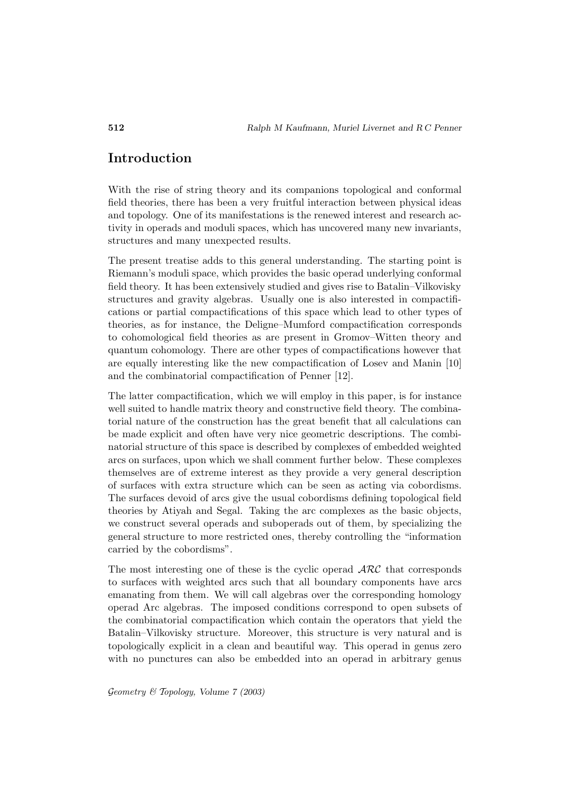# **Introduction**

With the rise of string theory and its companions topological and conformal field theories, there has been a very fruitful interaction between physical ideas and topology. One of its manifestations is the renewed interest and research activity in operads and moduli spaces, which has uncovered many new invariants, structures and many unexpected results.

The present treatise adds to this general understanding. The starting point is Riemann's moduli space, which provides the basic operad underlying conformal field theory. It has been extensively studied and gives rise to Batalin–Vilkovisky structures and gravity algebras. Usually one is also interested in compactifications or partial compactifications of this space which lead to other types of theories, as for instance, the Deligne–Mumford compactification corresponds to cohomological field theories as are present in Gromov–Witten theory and quantum cohomology. There are other types of compactifications however that are equally interesting like the new compactification of Losev and Manin [10] and the combinatorial compactification of Penner [12].

The latter compactification, which we will employ in this paper, is for instance well suited to handle matrix theory and constructive field theory. The combinatorial nature of the construction has the great benefit that all calculations can be made explicit and often have very nice geometric descriptions. The combinatorial structure of this space is described by complexes of embedded weighted arcs on surfaces, upon which we shall comment further below. These complexes themselves are of extreme interest as they provide a very general description of surfaces with extra structure which can be seen as acting via cobordisms. The surfaces devoid of arcs give the usual cobordisms defining topological field theories by Atiyah and Segal. Taking the arc complexes as the basic objects, we construct several operads and suboperads out of them, by specializing the general structure to more restricted ones, thereby controlling the "information carried by the cobordisms".

The most interesting one of these is the cyclic operad  $\mathcal{ARC}$  that corresponds to surfaces with weighted arcs such that all boundary components have arcs emanating from them. We will call algebras over the corresponding homology operad Arc algebras. The imposed conditions correspond to open subsets of the combinatorial compactification which contain the operators that yield the Batalin–Vilkovisky structure. Moreover, this structure is very natural and is topologically explicit in a clean and beautiful way. This operad in genus zero with no punctures can also be embedded into an operad in arbitrary genus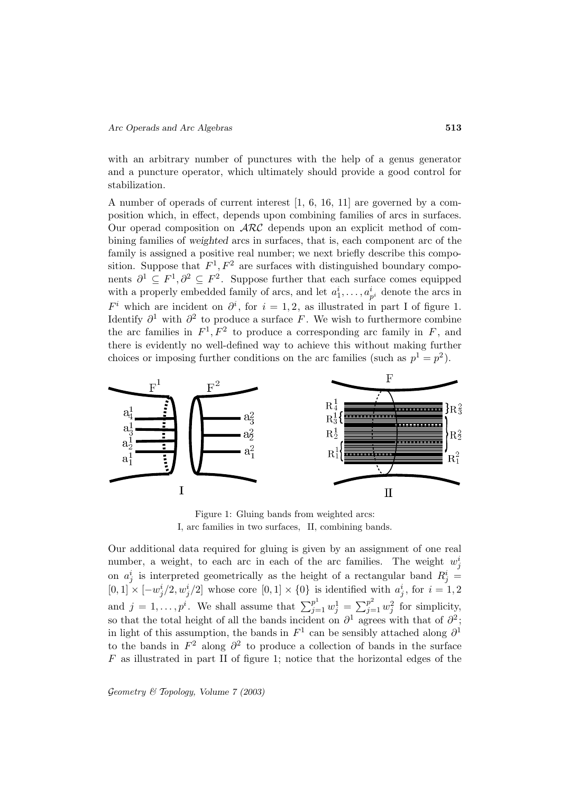with an arbitrary number of punctures with the help of a genus generator and a puncture operator, which ultimately should provide a good control for stabilization.

A number of operads of current interest [1, 6, 16, 11] are governed by a composition which, in effect, depends upon combining families of arcs in surfaces. Our operad composition on  $\text{ARC}$  depends upon an explicit method of combining families of *weighted* arcs in surfaces, that is, each component arc of the family is assigned a positive real number; we next briefly describe this composition. Suppose that  $F^1, F^2$  are surfaces with distinguished boundary components  $\partial^1 \subseteq F^1, \partial^2 \subseteq F^2$ . Suppose further that each surface comes equipped with a properly embedded family of arcs, and let  $a_1^i, \ldots, a_{p^i}^i$  denote the arcs in  $F<sup>i</sup>$  which are incident on  $\partial<sup>i</sup>$ , for  $i = 1, 2$ , as illustrated in part I of figure 1. Identify  $\partial^1$  with  $\partial^2$  to produce a surface F. We wish to furthermore combine the arc families in  $F^1, F^2$  to produce a corresponding arc family in F, and there is evidently no well-defined way to achieve this without making further choices or imposing further conditions on the arc families (such as  $p^1 = p^2$ ).



Figure 1: Gluing bands from weighted arcs: I, arc families in two surfaces, II, combining bands.

Our additional data required for gluing is given by an assignment of one real number, a weight, to each arc in each of the arc families. The weight  $w_j^i$ on  $a_j^i$  is interpreted geometrically as the height of a rectangular band  $R_j^i =$  $[0,1] \times [-w_j^i/2, w_j^i/2]$  whose core  $[0,1] \times \{0\}$  is identified with  $a_j^i$ , for  $i=1,2$ Our additional data required for gluing is given by an assignment of one real number, a weight, to each arc in each of the arc families. The weight  $w_j^i$  on  $a_j^i$  is interpreted geometrically as the height of a rectangu so that the total height of all the bands incident on  $\partial^1$  agrees with that of  $\partial^2$ ; in light of this assumption, the bands in  $F^1$  can be sensibly attached along  $\partial^1$ to the bands in  $F^2$  along  $\partial^2$  to produce a collection of bands in the surface  $F$  as illustrated in part II of figure 1; notice that the horizontal edges of the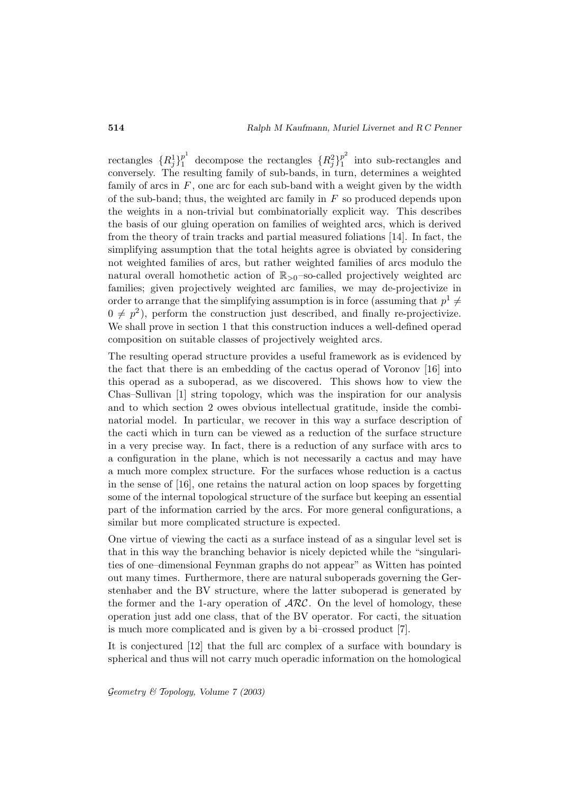rectangles  ${R_j^1}_{1}^p$  decompose the rectangles  ${R_j^2}_{1}^p$  into sub-rectangles and conversely. The resulting family of sub-bands, in turn, determines a weighted family of arcs in  $F$ , one arc for each sub-band with a weight given by the width of the sub-band; thus, the weighted arc family in  $F$  so produced depends upon the weights in a non-trivial but combinatorially explicit way. This describes the basis of our gluing operation on families of weighted arcs, which is derived from the theory of train tracks and partial measured foliations [14]. In fact, the simplifying assumption that the total heights agree is obviated by considering not weighted families of arcs, but rather weighted families of arcs modulo the natural overall homothetic action of  $\mathbb{R}_{>0}$ -so-called projectively weighted arc families; given projectively weighted arc families, we may de-projectivize in order to arrange that the simplifying assumption is in force (assuming that  $p^1 \neq$  $0 \neq p^2$ , perform the construction just described, and finally re-projectivize. We shall prove in section 1 that this construction induces a well-defined operad composition on suitable classes of projectively weighted arcs.

The resulting operad structure provides a useful framework as is evidenced by the fact that there is an embedding of the cactus operad of Voronov [16] into this operad as a suboperad, as we discovered. This shows how to view the Chas–Sullivan [1] string topology, which was the inspiration for our analysis and to which section 2 owes obvious intellectual gratitude, inside the combinatorial model. In particular, we recover in this way a surface description of the cacti which in turn can be viewed as a reduction of the surface structure in a very precise way. In fact, there is a reduction of any surface with arcs to a configuration in the plane, which is not necessarily a cactus and may have a much more complex structure. For the surfaces whose reduction is a cactus in the sense of [16], one retains the natural action on loop spaces by forgetting some of the internal topological structure of the surface but keeping an essential part of the information carried by the arcs. For more general configurations, a similar but more complicated structure is expected.

One virtue of viewing the cacti as a surface instead of as a singular level set is that in this way the branching behavior is nicely depicted while the "singularities of one–dimensional Feynman graphs do not appear" as Witten has pointed out many times. Furthermore, there are natural suboperads governing the Gerstenhaber and the BV structure, where the latter suboperad is generated by the former and the 1-ary operation of  $\text{ARC}$ . On the level of homology, these operation just add one class, that of the BV operator. For cacti, the situation is much more complicated and is given by a bi–crossed product [7].

It is conjectured [12] that the full arc complex of a surface with boundary is spherical and thus will not carry much operadic information on the homological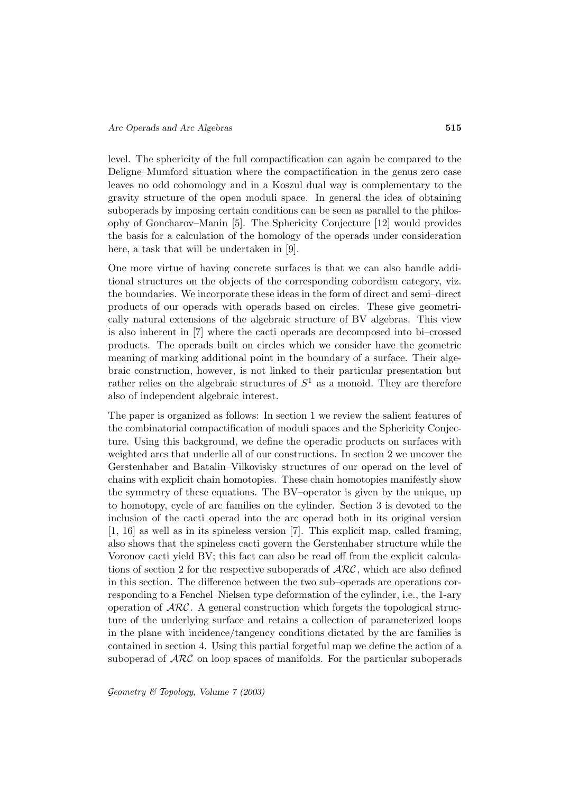level. The sphericity of the full compactification can again be compared to the Deligne–Mumford situation where the compactification in the genus zero case leaves no odd cohomology and in a Koszul dual way is complementary to the gravity structure of the open moduli space. In general the idea of obtaining suboperads by imposing certain conditions can be seen as parallel to the philosophy of Goncharov–Manin [5]. The Sphericity Conjecture [12] would provides the basis for a calculation of the homology of the operads under consideration here, a task that will be undertaken in [9].

One more virtue of having concrete surfaces is that we can also handle additional structures on the objects of the corresponding cobordism category, viz. the boundaries. We incorporate these ideas in the form of direct and semi–direct products of our operads with operads based on circles. These give geometrically natural extensions of the algebraic structure of BV algebras. This view is also inherent in [7] where the cacti operads are decomposed into bi–crossed products. The operads built on circles which we consider have the geometric meaning of marking additional point in the boundary of a surface. Their algebraic construction, however, is not linked to their particular presentation but rather relies on the algebraic structures of  $S^1$  as a monoid. They are therefore also of independent algebraic interest.

The paper is organized as follows: In section 1 we review the salient features of the combinatorial compactification of moduli spaces and the Sphericity Conjecture. Using this background, we define the operadic products on surfaces with weighted arcs that underlie all of our constructions. In section 2 we uncover the Gerstenhaber and Batalin–Vilkovisky structures of our operad on the level of chains with explicit chain homotopies. These chain homotopies manifestly show the symmetry of these equations. The BV–operator is given by the unique, up to homotopy, cycle of arc families on the cylinder. Section 3 is devoted to the inclusion of the cacti operad into the arc operad both in its original version [1, 16] as well as in its spineless version [7]. This explicit map, called framing, also shows that the spineless cacti govern the Gerstenhaber structure while the Voronov cacti yield BV; this fact can also be read off from the explicit calculations of section 2 for the respective suboperads of  $\mathcal{ARC}$ , which are also defined in this section. The difference between the two sub–operads are operations corresponding to a Fenchel–Nielsen type deformation of the cylinder, i.e., the 1-ary operation of  $\mathcal{ARC}$ . A general construction which forgets the topological structure of the underlying surface and retains a collection of parameterized loops in the plane with incidence/tangency conditions dictated by the arc families is contained in section 4. Using this partial forgetful map we define the action of a suboperad of  $\mathcal{ARC}$  on loop spaces of manifolds. For the particular suboperads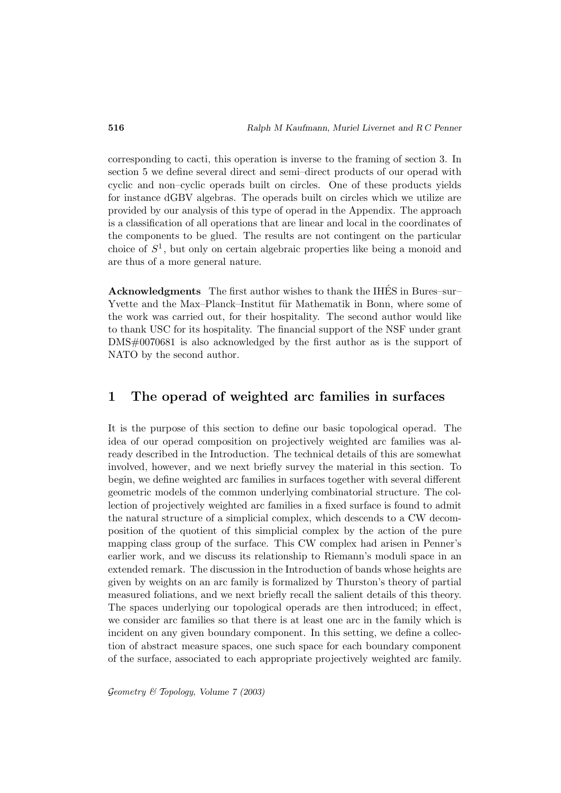corresponding to cacti, this operation is inverse to the framing of section 3. In section 5 we define several direct and semi–direct products of our operad with cyclic and non–cyclic operads built on circles. One of these products yields for instance dGBV algebras. The operads built on circles which we utilize are provided by our analysis of this type of operad in the Appendix. The approach is a classification of all operations that are linear and local in the coordinates of the components to be glued. The results are not contingent on the particular choice of  $S<sup>1</sup>$ , but only on certain algebraic properties like being a monoid and are thus of a more general nature.

**Acknowledgments** The first author wishes to thank the IHES in Bures–sur– ´ Yvette and the Max–Planck–Institut für Mathematik in Bonn, where some of the work was carried out, for their hospitality. The second author would like to thank USC for its hospitality. The financial support of the NSF under grant DMS#0070681 is also acknowledged by the first author as is the support of NATO by the second author.

# **1 The operad of weighted arc families in surfaces**

It is the purpose of this section to define our basic topological operad. The idea of our operad composition on projectively weighted arc families was already described in the Introduction. The technical details of this are somewhat involved, however, and we next briefly survey the material in this section. To begin, we define weighted arc families in surfaces together with several different geometric models of the common underlying combinatorial structure. The collection of projectively weighted arc families in a fixed surface is found to admit the natural structure of a simplicial complex, which descends to a CW decomposition of the quotient of this simplicial complex by the action of the pure mapping class group of the surface. This CW complex had arisen in Penner's earlier work, and we discuss its relationship to Riemann's moduli space in an extended remark. The discussion in the Introduction of bands whose heights are given by weights on an arc family is formalized by Thurston's theory of partial measured foliations, and we next briefly recall the salient details of this theory. The spaces underlying our topological operads are then introduced; in effect, we consider arc families so that there is at least one arc in the family which is incident on any given boundary component. In this setting, we define a collection of abstract measure spaces, one such space for each boundary component of the surface, associated to each appropriate projectively weighted arc family.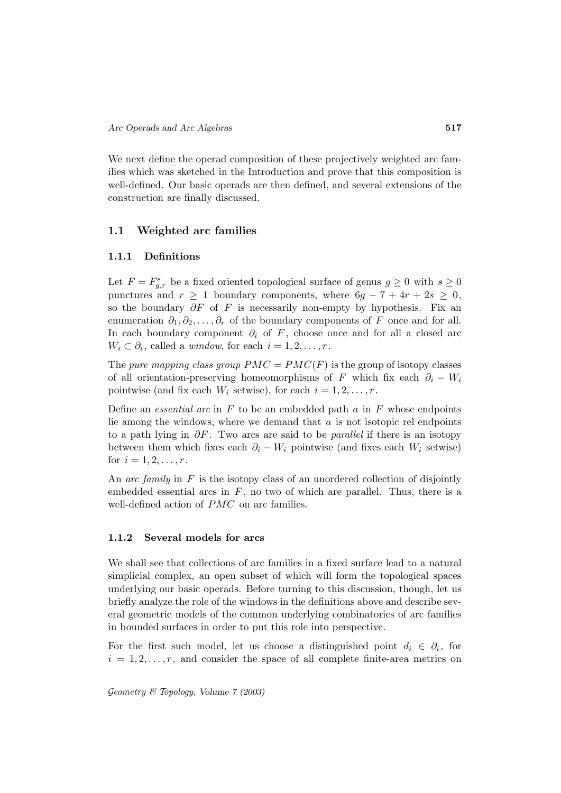We next define the operad composition of these projectively weighted arc families which was sketched in the Introduction and prove that this composition is well-defined. Our basic operads are then defined, and several extensions of the construction are finally discussed.

# **1.1 Weighted arc families**

#### **1.1.1 Definitions**

Let  $F = F_{g,r}^s$  be a fixed oriented topological surface of genus  $g \ge 0$  with  $s \ge 0$ punctures and  $r \geq 1$  boundary components, where  $6g - 7 + 4r + 2s \geq 0$ , so the boundary  $\partial F$  of F is necessarily non-empty by hypothesis. Fix an enumeration  $\partial_1, \partial_2, \ldots, \partial_r$  of the boundary components of F once and for all. In each boundary component  $\partial_i$  of F, choose once and for all a closed arc  $W_i \subset \partial_i$ , called a *window*, for each  $i = 1, 2, \ldots, r$ .

The pure mapping class group  $PMC = PMC(F)$  is the group of isotopy classes of all orientation-preserving homeomorphisms of F which fix each  $\partial_i - W_i$ pointwise (and fix each  $W_i$  setwise), for each  $i = 1, 2, \ldots, r$ .

Define an *essential arc* in  $F$  to be an embedded path  $a$  in  $F$  whose endpoints lie among the windows, where we demand that  $a$  is not isotopic rel endpoints to a path lying in  $\partial F$ . Two arcs are said to be *parallel* if there is an isotopy between them which fixes each  $\partial_i - W_i$  pointwise (and fixes each  $W_i$  setwise) for  $i = 1, 2, ..., r$ .

An arc family in  $F$  is the isotopy class of an unordered collection of disjointly embedded essential arcs in  $F$ , no two of which are parallel. Thus, there is a well-defined action of PMC on arc families.

#### **1.1.2 Several models for arcs**

We shall see that collections of arc families in a fixed surface lead to a natural simplicial complex, an open subset of which will form the topological spaces underlying our basic operads. Before turning to this discussion, though, let us briefly analyze the role of the windows in the definitions above and describe several geometric models of the common underlying combinatorics of arc families in bounded surfaces in order to put this role into perspective.

For the first such model, let us choose a distinguished point  $d_i \in \partial_i$ , for  $i = 1, 2, \ldots, r$ , and consider the space of all complete finite-area metrics on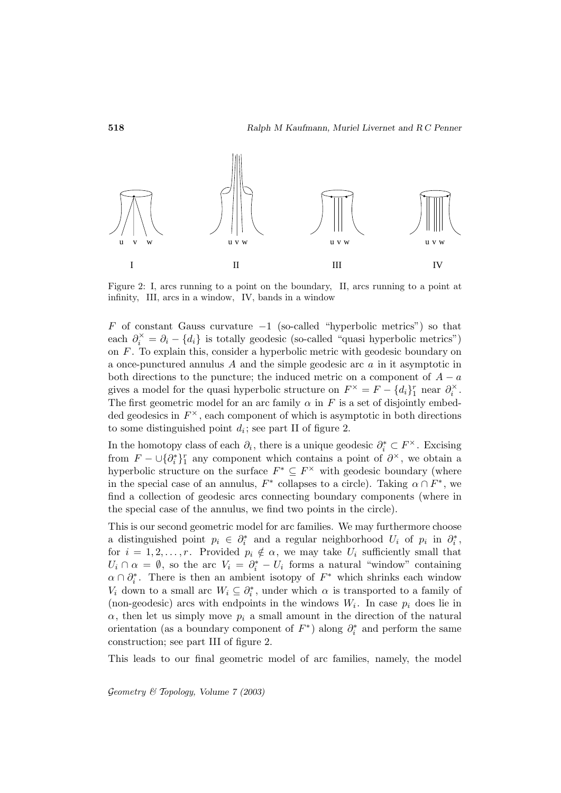

Figure 2: I, arcs running to a point on the boundary, II, arcs running to a point at infinity, III, arcs in a window, IV, bands in a window

F of constant Gauss curvature  $-1$  (so-called "hyperbolic metrics") so that each  $\partial_i^{\times} = \partial_i - \{d_i\}$  is totally geodesic (so-called "quasi hyperbolic metrics") on  $F$ . To explain this, consider a hyperbolic metric with geodesic boundary on a once-punctured annulus A and the simple geodesic arc a in it asymptotic in both directions to the puncture; the induced metric on a component of  $A - a$ gives a model for the quasi hyperbolic structure on  $F^{\times} = F - \{d_i\}_{i=1}^r$  near  $\partial_i^{\times}$ . The first geometric model for an arc family  $\alpha$  in F is a set of disjointly embedded geodesics in  $F^{\times}$ , each component of which is asymptotic in both directions to some distinguished point  $d_i$ ; see part II of figure 2.

In the homotopy class of each  $\partial_i$ , there is a unique geodesic  $\partial_i^* \subset F^\times$ . Excising from  $F - \bigcup \{\partial_i^*\}_1^r$  any component which contains a point of  $\partial^\times$ , we obtain a hyperbolic structure on the surface  $F^* \subseteq F^*$  with geodesic boundary (where in the special case of an annulus,  $F^*$  collapses to a circle). Taking  $\alpha \cap F^*$ , we find a collection of geodesic arcs connecting boundary components (where in the special case of the annulus, we find two points in the circle).

This is our second geometric model for arc families. We may furthermore choose a distinguished point  $p_i \in \partial_i^*$  and a regular neighborhood  $U_i$  of  $p_i$  in  $\partial_i^*$ , for  $i = 1, 2, \ldots, r$ . Provided  $p_i \notin \alpha$ , we may take  $U_i$  sufficiently small that  $U_i \cap \alpha = \emptyset$ , so the arc  $V_i = \partial_i^* - U_i$  forms a natural "window" containing  $\alpha \cap \partial_i^*$ . There is then an ambient isotopy of  $F^*$  which shrinks each window  $V_i$  down to a small arc  $W_i \subseteq \partial_i^*$ , under which  $\alpha$  is transported to a family of (non-geodesic) arcs with endpoints in the windows  $W_i$ . In case  $p_i$  does lie in  $\alpha$ , then let us simply move  $p_i$  a small amount in the direction of the natural orientation (as a boundary component of  $F^*$ ) along  $\partial_i^*$  and perform the same construction; see part III of figure 2.

This leads to our final geometric model of arc families, namely, the model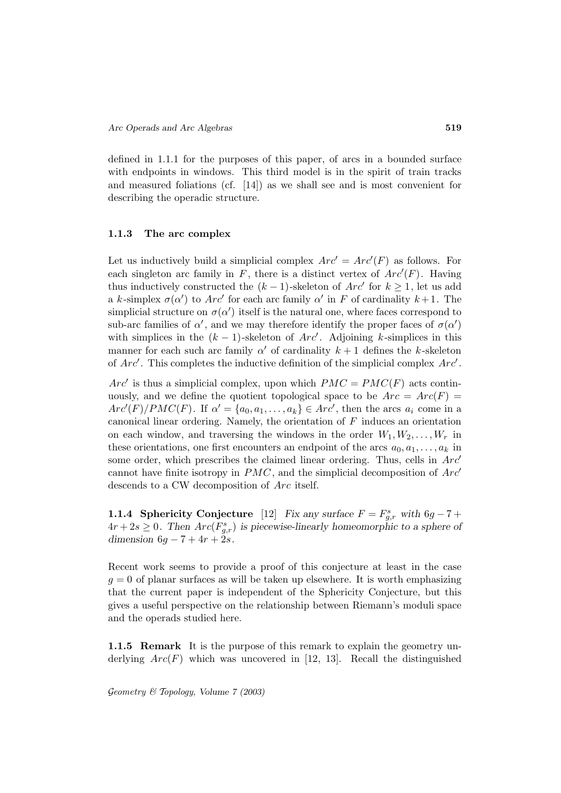defined in 1.1.1 for the purposes of this paper, of arcs in a bounded surface with endpoints in windows. This third model is in the spirit of train tracks and measured foliations (cf. [14]) as we shall see and is most convenient for describing the operadic structure.

#### **1.1.3 The arc complex**

Let us inductively build a simplicial complex  $Arc' = Arc'(F)$  as follows. For each singleton arc family in  $F$ , there is a distinct vertex of  $Arc'(F)$ . Having thus inductively constructed the  $(k-1)$ -skeleton of  $Arc'$  for  $k \geq 1$ , let us add a k-simplex  $\sigma(\alpha')$  to Arc<sup>'</sup> for each arc family  $\alpha'$  in F of cardinality  $k+1$ . The simplicial structure on  $\sigma(\alpha')$  itself is the natural one, where faces correspond to sub-arc families of  $\alpha'$ , and we may therefore identify the proper faces of  $\sigma(\alpha')$ with simplices in the  $(k-1)$ -skeleton of  $Arc'$ . Adjoining k-simplices in this manner for each such arc family  $\alpha'$  of cardinality  $k+1$  defines the k-skeleton of  $Arc'$ . This completes the inductive definition of the simplicial complex  $Arc'$ .

 $Arc<sup>\prime</sup>$  is thus a simplicial complex, upon which  $PMC = PMC(F)$  acts continuously, and we define the quotient topological space to be  $Arc = Arc(F)$  $Arc'(F)/PMC(F)$ . If  $\alpha' = \{a_0, a_1, \ldots, a_k\} \in Arc'$ , then the arcs  $a_i$  come in a canonical linear ordering. Namely, the orientation of  $F$  induces an orientation on each window, and traversing the windows in the order  $W_1, W_2, \ldots, W_r$  in these orientations, one first encounters an endpoint of the arcs  $a_0, a_1, \ldots, a_k$  in some order, which prescribes the claimed linear ordering. Thus, cells in  $Arc'$ cannot have finite isotropy in  $PMC$ , and the simplicial decomposition of  $Arc'$ descends to a CW decomposition of Arc itself.

**1.1.4 Sphericity Conjecture** [12] *Fix any surface*  $F = F_{g,r}^s$  *with*  $6g - 7 + 7g$  $4r + 2s \geq 0$ . Then  $Arc(F_{g,r}^s)$  is piecewise-linearly homeomorphic to a sphere of *dimension*  $6g - 7 + 4r + 2s$ .

Recent work seems to provide a proof of this conjecture at least in the case  $g = 0$  of planar surfaces as will be taken up elsewhere. It is worth emphasizing that the current paper is independent of the Sphericity Conjecture, but this gives a useful perspective on the relationship between Riemann's moduli space and the operads studied here.

**1.1.5 Remark** It is the purpose of this remark to explain the geometry underlying  $Arc(F)$  which was uncovered in [12, 13]. Recall the distinguished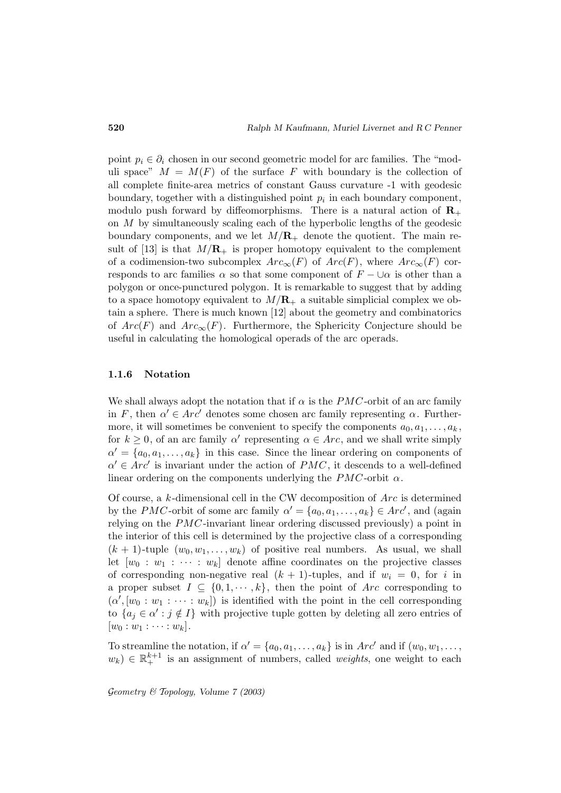point  $p_i \in \partial_i$  chosen in our second geometric model for arc families. The "moduli space"  $M = M(F)$  of the surface F with boundary is the collection of all complete finite-area metrics of constant Gauss curvature -1 with geodesic boundary, together with a distinguished point  $p_i$  in each boundary component, modulo push forward by diffeomorphisms. There is a natural action of  $\mathbb{R}_+$ on M by simultaneously scaling each of the hyperbolic lengths of the geodesic boundary components, and we let  $M/R_+$  denote the quotient. The main result of [13] is that  $M/R_+$  is proper homotopy equivalent to the complement of a codimension-two subcomplex  $Arc_{\infty}(F)$  of  $Arc(F)$ , where  $Arc_{\infty}(F)$  corresponds to arc families  $\alpha$  so that some component of  $F - \cup \alpha$  is other than a polygon or once-punctured polygon. It is remarkable to suggest that by adding to a space homotopy equivalent to  $M/R_+$  a suitable simplicial complex we obtain a sphere. There is much known [12] about the geometry and combinatorics of  $Arc(F)$  and  $Arc_{\infty}(F)$ . Furthermore, the Sphericity Conjecture should be useful in calculating the homological operads of the arc operads.

#### **1.1.6 Notation**

We shall always adopt the notation that if  $\alpha$  is the PMC-orbit of an arc family in F, then  $\alpha' \in Arc'$  denotes some chosen arc family representing  $\alpha$ . Furthermore, it will sometimes be convenient to specify the components  $a_0, a_1, \ldots, a_k$ , for  $k \geq 0$ , of an arc family  $\alpha'$  representing  $\alpha \in Arc$ , and we shall write simply  $\alpha' = \{a_0, a_1, \ldots, a_k\}$  in this case. Since the linear ordering on components of  $\alpha' \in Arc'$  is invariant under the action of  $PMC$ , it descends to a well-defined linear ordering on the components underlying the  $PMC$ -orbit  $\alpha$ .

Of course, a  $k$ -dimensional cell in the CW decomposition of  $Arc$  is determined by the PMC-orbit of some arc family  $\alpha' = \{a_0, a_1, \ldots, a_k\} \in Arc'$ , and (again relying on the PMC-invariant linear ordering discussed previously) a point in the interior of this cell is determined by the projective class of a corresponding  $(k + 1)$ -tuple  $(w_0, w_1, \ldots, w_k)$  of positive real numbers. As usual, we shall let  $[w_0 : w_1 : \cdots : w_k]$  denote affine coordinates on the projective classes of corresponding non-negative real  $(k + 1)$ -tuples, and if  $w_i = 0$ , for i in a proper subset  $I \subseteq \{0, 1, \dots, k\}$ , then the point of Arc corresponding to  $(\alpha', [w_0 : w_1 : \cdots : w_k])$  is identified with the point in the cell corresponding to  $\{a_j \in \alpha' : j \notin I\}$  with projective tuple gotten by deleting all zero entries of  $[w_0:w_1:\cdots:w_k].$ 

To streamline the notation, if  $\alpha' = \{a_0, a_1, \ldots, a_k\}$  is in  $Arc'$  and if  $(w_0, w_1, \ldots, w_k)$  $w_k$ )  $\in \mathbb{R}^{k+1}_+$  is an assignment of numbers, called *weights*, one weight to each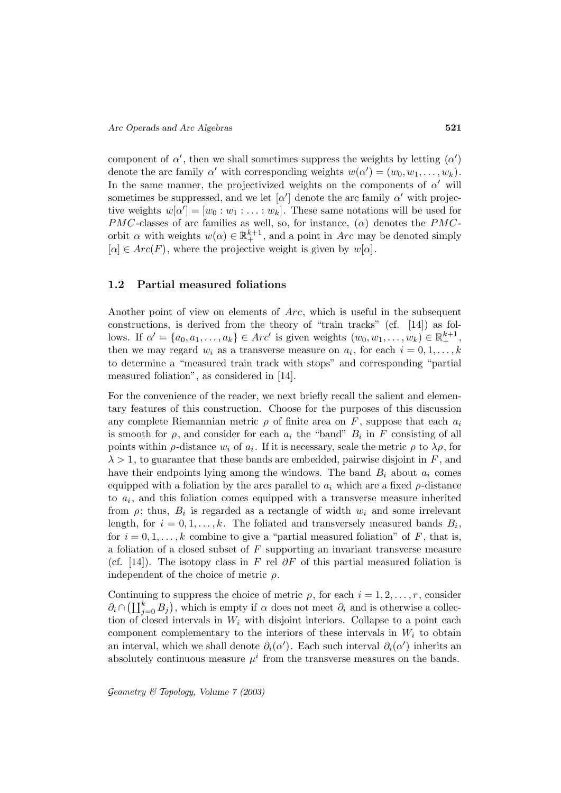component of  $\alpha'$ , then we shall sometimes suppress the weights by letting  $(\alpha')$ denote the arc family  $\alpha'$  with corresponding weights  $w(\alpha') = (w_0, w_1, \ldots, w_k)$ . In the same manner, the projectivized weights on the components of  $\alpha'$  will sometimes be suppressed, and we let  $\alpha'$  denote the arc family  $\alpha'$  with projective weights  $w[\alpha'] = [w_0 : w_1 : \ldots : w_k]$ . These same notations will be used for PMC-classes of arc families as well, so, for instance,  $(\alpha)$  denotes the PMCorbit  $\alpha$  with weights  $w(\alpha) \in \mathbb{R}^{k+1}_+$ , and a point in Arc may be denoted simply  $[\alpha] \in Arc(F)$ , where the projective weight is given by  $w[\alpha]$ .

#### **1.2 Partial measured foliations**

Another point of view on elements of Arc, which is useful in the subsequent constructions, is derived from the theory of "train tracks" (cf. [14]) as follows. If  $\alpha' = \{a_0, a_1, \ldots, a_k\} \in Arc'$  is given weights  $(w_0, w_1, \ldots, w_k) \in \mathbb{R}^{k+1}_+$ , then we may regard  $w_i$  as a transverse measure on  $a_i$ , for each  $i = 0, 1, \ldots, k$ to determine a "measured train track with stops" and corresponding "partial measured foliation", as considered in [14].

For the convenience of the reader, we next briefly recall the salient and elementary features of this construction. Choose for the purposes of this discussion any complete Riemannian metric  $\rho$  of finite area on F, suppose that each  $a_i$ is smooth for  $\rho$ , and consider for each  $a_i$  the "band"  $B_i$  in F consisting of all points within  $\rho$ -distance  $w_i$  of  $a_i$ . If it is necessary, scale the metric  $\rho$  to  $\lambda \rho$ , for  $\lambda > 1$ , to guarantee that these bands are embedded, pairwise disjoint in F, and have their endpoints lying among the windows. The band  $B_i$  about  $a_i$  comes equipped with a foliation by the arcs parallel to  $a_i$  which are a fixed  $\rho$ -distance to  $a_i$ , and this foliation comes equipped with a transverse measure inherited from  $\rho$ ; thus,  $B_i$  is regarded as a rectangle of width  $w_i$  and some irrelevant length, for  $i = 0, 1, \ldots, k$ . The foliated and transversely measured bands  $B_i$ , for  $i = 0, 1, \ldots, k$  combine to give a "partial measured foliation" of F, that is, a foliation of a closed subset of  $F$  supporting an invariant transverse measure (cf. [14]). The isotopy class in F rel  $\partial F$  of this partial measured foliation is independent of the choice of metric  $\rho$ . a ionation of a closed subset of *F* supporting an invariant transverse measure (cf. [14]). The isotopy class in *F* rel ∂*F* of this partial measured foliation is independent of the choice of metric *ρ*.<br>Continuing to

Continuing to suppress the choice of metric  $\rho$ , for each  $i = 1, 2, \ldots, r$ , consider tion of closed intervals in  $W_i$  with disjoint interiors. Collapse to a point each component complementary to the interiors of these intervals in  $W_i$  to obtain an interval, which we shall denote  $\partial_i(\alpha')$ . Each such interval  $\partial_i(\alpha')$  inherits an absolutely continuous measure  $\mu^{i}$  from the transverse measures on the bands.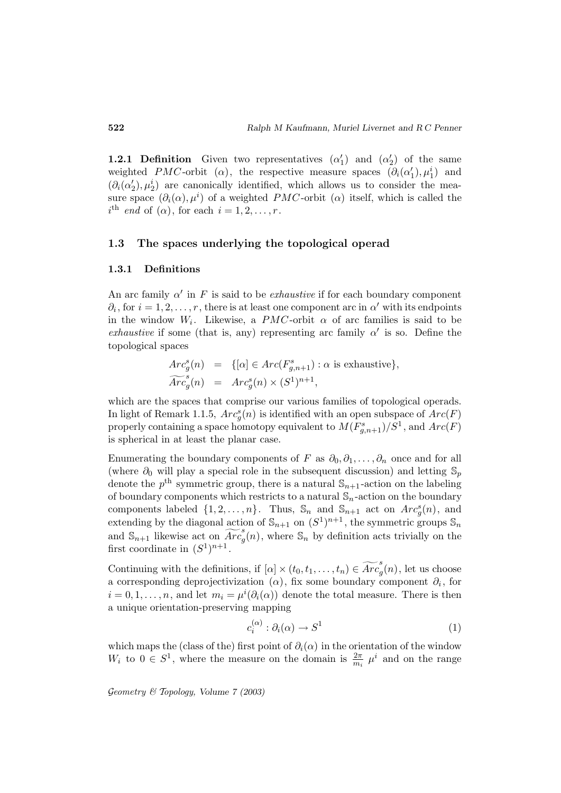**1.2.1 Definition** Given two representatives  $(\alpha'_1)$  and  $(\alpha'_2)$  of the same weighted PMC-orbit ( $\alpha$ ), the respective measure spaces  $(\partial_i(\alpha'_1), \mu_1^i)$  and  $(\partial_i(\alpha'_2), \mu_2^i)$  are canonically identified, which allows us to consider the measure space  $(\partial_i(\alpha), \mu^i)$  of a weighted  $PMC$ -orbit  $(\alpha)$  itself, which is called the  $i^{\text{th}}$  end of  $(\alpha)$ , for each  $i = 1, 2, \ldots, r$ .

# **1.3 The spaces underlying the topological operad**

#### **1.3.1 Definitions**

An arc family  $\alpha'$  in F is said to be *exhaustive* if for each boundary component  $\partial_i$ , for  $i = 1, 2, \ldots, r$ , there is at least one component arc in  $\alpha'$  with its endpoints in the window  $W_i$ . Likewise, a PMC-orbit  $\alpha$  of arc families is said to be exhaustive if some (that is, any) representing arc family  $\alpha'$  is so. Define the topological spaces

some (that is, any) representing arc family 
$$
\alpha'
$$
 is so-  
naces  

$$
Arc_g^s(n) = \{[\alpha] \in Arc(F_{g,n+1}^s) : \alpha \text{ is exhaustive}\},
$$

$$
\widetilde{Arc}_g^s(n) = Arc_g^s(n) \times (S^1)^{n+1},
$$

which are the spaces that comprise our various families of topological operads. In light of Remark 1.1.5,  $Arc_g^s(n)$  is identified with an open subspace of  $Arc(F)$ properly containing a space homotopy equivalent to  $M(F^s_{g,n+1})/S^1$ , and  $Arc(F)$ is spherical in at least the planar case.

Enumerating the boundary components of F as  $\partial_0, \partial_1, \ldots, \partial_n$  once and for all (where  $\partial_0$  will play a special role in the subsequent discussion) and letting  $\mathbb{S}_p$ denote the  $p<sup>th</sup>$  symmetric group, there is a natural  $\mathbb{S}_{n+1}$ -action on the labeling of boundary components which restricts to a natural  $\mathbb{S}_n$ -action on the boundary components labeled  $\{1, 2, ..., n\}$ . Thus,  $\mathbb{S}_n$  and  $\mathbb{S}_{n+1}$  act on  $Arc_g^s(n)$ , and extending by the diagonal action of  $\mathbb{S}_{n+1}$  on  $(S^1)^{n+1}$ , the symmetric groups  $\mathbb{S}_n$ denote the  $p$  symmetric ground symmetric grounds which<br>components labeled  $\{1, 2, \ldots,$ <br>extending by the diagonal action<br>and  $\mathbb{S}_{n+1}$  likewise act on  $\widehat{Arc}_q^s$ and  $\mathbb{S}_{n+1}$  likewise act on  $\overrightarrow{Arc}_{q}(n)$ , where  $\mathbb{S}_n$  by definition acts trivially on the first coordinate in  $(S^1)^{n+1}$ . extending by the diagonal action of  $\mathbb{S}_{n+1}$  on  $(S^1)^{n+1}$ , the symmetric groups  $\mathbb{S}_n$ <br>and  $\mathbb{S}_{n+1}$  likewise act on  $\widetilde{Arc}^s_g(n)$ , where  $\mathbb{S}_n$  by definition acts trivially on the<br>first coordinate in  $(S^1$ 

a corresponding deprojectivization  $(\alpha)$ , fix some boundary component  $\partial_i$ , for  $i = 0, 1, \ldots, n$ , and let  $m_i = \mu^i(\partial_i(\alpha))$  denote the total measure. There is then a unique orientation-preserving mapping

$$
c_i^{(\alpha)} : \partial_i(\alpha) \to S^1 \tag{1}
$$

which maps the (class of the) first point of  $\partial_i(\alpha)$  in the orientation of the window  $W_i$  to  $0 \in S^1$ , where the measure on the domain is  $\frac{2\pi}{m_i}$   $\mu^i$  and on the range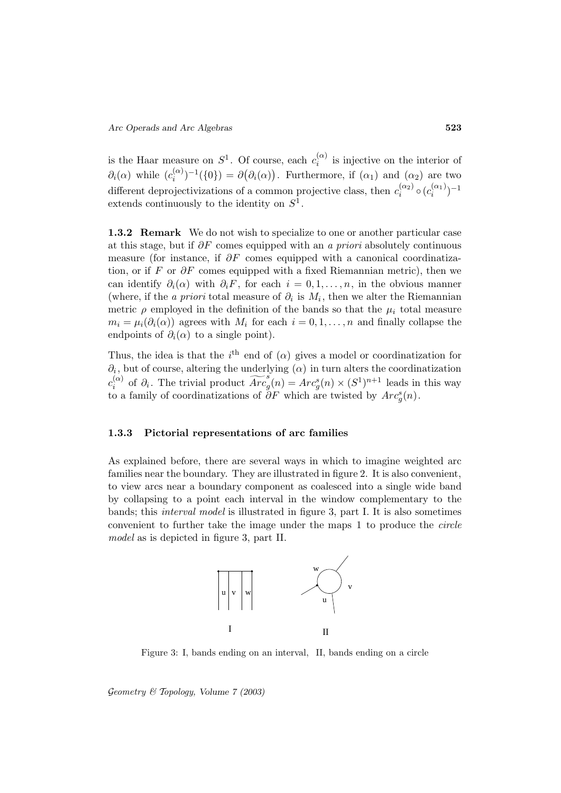is the Haar measure on  $S^1$ . Of course, each  $c_i^{(\alpha)}$  is injective on the interior of  $\partial_i(\alpha)$  while  $(c_i^{(\alpha)})^{-1}(\{0\}) = \partial(\partial_i(\alpha))$ . Furthermore, if  $(\alpha_1)$  and  $(\alpha_2)$  are two different deprojectivizations of a common projective class, then  $c_i^{(\alpha_2)} \circ (c_i^{(\alpha_1)})^{-1}$ extends continuously to the identity on  $S^1$ .

**1.3.2 Remark** We do not wish to specialize to one or another particular case at this stage, but if  $\partial F$  comes equipped with an a priori absolutely continuous measure (for instance, if  $\partial F$  comes equipped with a canonical coordinatization, or if F or  $\partial F$  comes equipped with a fixed Riemannian metric), then we can identify  $\partial_i(\alpha)$  with  $\partial_i F$ , for each  $i = 0, 1, \ldots, n$ , in the obvious manner (where, if the *a priori* total measure of  $\partial_i$  is  $M_i$ , then we alter the Riemannian metric  $\rho$  employed in the definition of the bands so that the  $\mu_i$  total measure  $m_i = \mu_i(\partial_i(\alpha))$  agrees with  $M_i$  for each  $i = 0, 1, \ldots, n$  and finally collapse the endpoints of  $\partial_i(\alpha)$  to a single point).

Thus, the idea is that the i<sup>th</sup> end of ( $\alpha$ ) gives a model or coordinatization for  $\partial_i$ , but of course, altering the underlying  $(\alpha)$  in turn alters the coordinatization  $c_i^{(\alpha)}$ i of  $\partial_i(\alpha)$  to a single point).<br>
Thus, the idea is that the *i*<sup>th</sup> end of  $(\alpha)$  gives a model or coordinatization for  $\partial_i$ , but of course, altering the underlying  $(\alpha)$  in turn alters the coordinatization  $\widetilde{Arc}_j^{s$ to a family of coordinatizations of  $\partial F$  which are twisted by  $Arc<sub>g</sub><sup>s</sup>(n)$ .

#### **1.3.3 Pictorial representations of arc families**

As explained before, there are several ways in which to imagine weighted arc families near the boundary. They are illustrated in figure 2. It is also convenient, to view arcs near a boundary component as coalesced into a single wide band by collapsing to a point each interval in the window complementary to the bands; this interval model is illustrated in figure 3, part I. It is also sometimes convenient to further take the image under the maps 1 to produce the circle model as is depicted in figure 3, part II.



Figure 3: I, bands ending on an interval, II, bands ending on a circle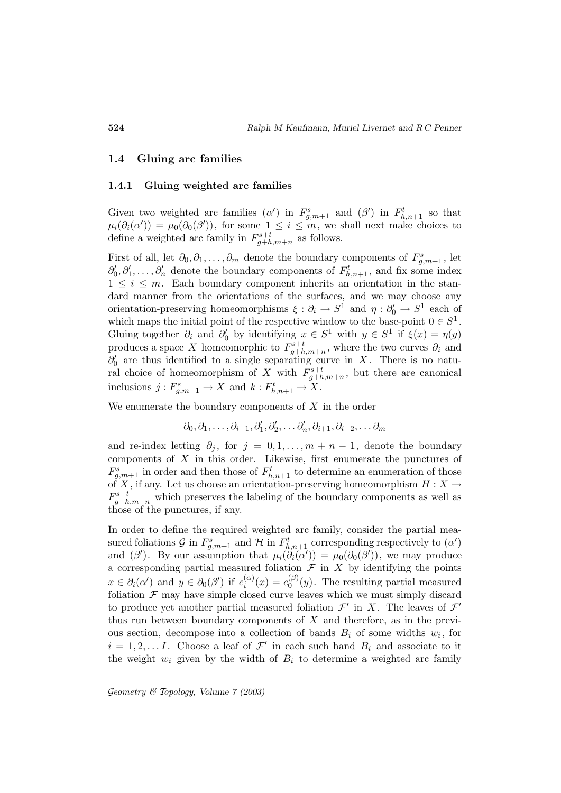#### **1.4 Gluing arc families**

#### **1.4.1 Gluing weighted arc families**

Given two weighted arc families  $(\alpha')$  in  $F_{g,m+1}^s$  and  $(\beta')$  in  $F_{h,n+1}^t$  so that  $\mu_i(\partial_i(\alpha')) = \mu_0(\partial_0(\beta'))$ , for some  $1 \leq i \leq m$ , we shall next make choices to define a weighted arc family in  $F_{g+h,m+n}^{s+t}$  as follows.

First of all, let  $\partial_0, \partial_1, \ldots, \partial_m$  denote the boundary components of  $F^s_{g,m+1}$ , let  $\partial'_0, \partial'_1, \ldots, \partial'_n$  denote the boundary components of  $F^t_{h,n+1}$ , and fix some index  $1 \leq i \leq m$ . Each boundary component inherits an orientation in the standard manner from the orientations of the surfaces, and we may choose any orientation-preserving homeomorphisms  $\xi : \partial_i \to S^1$  and  $\eta : \partial'_0 \to S^1$  each of which maps the initial point of the respective window to the base-point  $0 \in S^1$ . Gluing together  $\partial_i$  and  $\partial'_0$  by identifying  $x \in S^1$  with  $y \in S^1$  if  $\xi(x) = \eta(y)$ produces a space X homeomorphic to  $F^{s+t}_{g+h,m+n}$ , where the two curves  $\partial_i$  and  $\partial'_{0}$  are thus identified to a single separating curve in X. There is no natural choice of homeomorphism of X with  $F_{g+h,m+n}^{s+t}$ , but there are canonical inclusions  $j: F^s_{g,m+1} \to X$  and  $k: F^t_{h,n+1} \to X$ .

We enumerate the boundary components of  $X$  in the order

$$
\partial_0, \partial_1, \ldots, \partial_{i-1}, \partial'_1, \partial'_2, \ldots \partial'_n, \partial_{i+1}, \partial_{i+2}, \ldots \partial_m
$$

and re-index letting  $\partial_j$ , for  $j = 0, 1, \ldots, m + n - 1$ , denote the boundary components of  $X$  in this order. Likewise, first enumerate the punctures of  $F_{g,m+1}^s$  in order and then those of  $F_{h,n+1}^t$  to determine an enumeration of those of X, if any. Let us choose an orientation-preserving homeomorphism  $H: X \rightarrow$  $F_{g+h,m+n}^{s+t}$  which preserves the labeling of the boundary components as well as those of the punctures, if any.

In order to define the required weighted arc family, consider the partial measured foliations  $\mathcal G$  in  $F^s_{g,m+1}$  and  $\mathcal H$  in  $F^t_{h,n+1}$  corresponding respectively to  $(\alpha')$ and  $(\beta')$ . By our assumption that  $\mu_i(\hat{\partial}_i(\alpha')) = \mu_0(\partial_0(\beta'))$ , we may produce a corresponding partial measured foliation  $\mathcal F$  in  $X$  by identifying the points  $x \in \partial_i(\alpha')$  and  $y \in \partial_0(\beta')$  if  $c_i^{(\alpha)}(x) = c_0^{(\beta)}(y)$ . The resulting partial measured foliation  $\mathcal F$  may have simple closed curve leaves which we must simply discard to produce yet another partial measured foliation  $\mathcal{F}'$  in X. The leaves of  $\mathcal{F}'$ thus run between boundary components of  $X$  and therefore, as in the previous section, decompose into a collection of bands  $B_i$  of some widths  $w_i$ , for  $i = 1, 2, \ldots I$ . Choose a leaf of  $\mathcal{F}'$  in each such band  $B_i$  and associate to it the weight  $w_i$  given by the width of  $B_i$  to determine a weighted arc family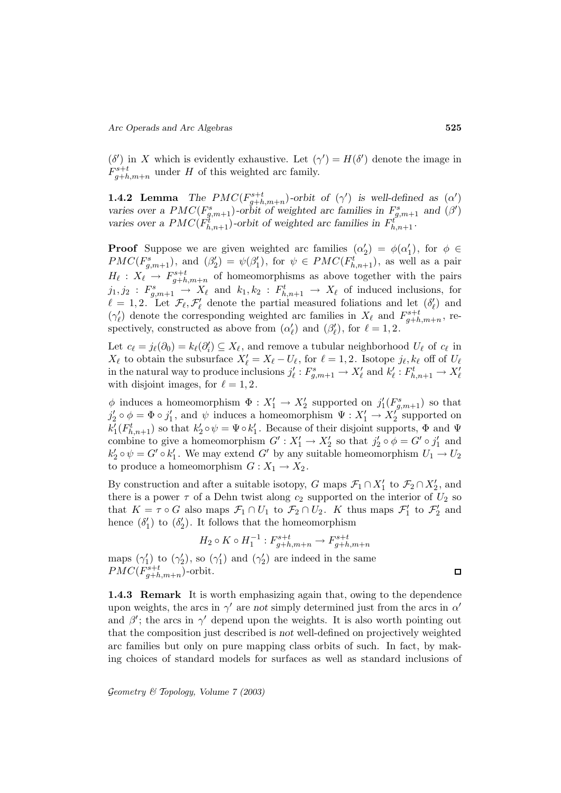$(\delta')$  in X which is evidently exhaustive. Let  $(\gamma') = H(\delta')$  denote the image in  $F_{g+h,m+n}^{s+t}$  under H of this weighted arc family.

**1.4.2 Lemma** *The PMC*( $F_{g+h,m+n}^{s+t}$ )-orbit of ( $\gamma'$ ) is well-defined as ( $\alpha'$ ) *varies over a PMC*( $F_{g,m+1}^s$ )-orbit of weighted arc families in  $F_{g,m+1}^s$  and ( $\beta'$ ) varies over a  $PMC(F_{h,n+1}^t)$ -orbit of weighted arc families in  $F_{h,n+1}^t$ .

**Proof** Suppose we are given weighted arc families  $(\alpha_2') = \phi(\alpha_1')$ , for  $\phi \in$  $PMC(F_{g,m+1}^s)$ , and  $(\beta_2') = \psi(\beta_1')$ , for  $\psi \in PMC(F_{h,n+1}^t)$ , as well as a pair  $H_{\ell} : X_{\ell} \to F_{g+h,m+n}^{s+t}$  of homeomorphisms as above together with the pairs  $j_1, j_2 : F^s_{g,m+1} \to X_\ell$  and  $k_1, k_2 : F^t_{h,n+1} \to X_\ell$  of induced inclusions, for  $\ell = 1, 2$ . Let  $\mathcal{F}_{\ell}, \mathcal{F}'_{\ell}$  denote the partial measured foliations and let  $(\delta'_{\ell})$  and  $(\gamma_\ell')$  denote the corresponding weighted arc families in  $X_\ell$  and  $F^{s+t}_{g+h,m+n}$ , respectively, constructed as above from  $(\alpha'_{\ell})$  and  $(\beta'_{\ell})$ , for  $\ell = 1, 2$ .

Let  $c_{\ell} = j_{\ell}(\partial_0) = k_{\ell}(\partial_i') \subseteq X_{\ell}$ , and remove a tubular neighborhood  $U_{\ell}$  of  $c_{\ell}$  in  $X_{\ell}$  to obtain the subsurface  $X'_{\ell} = X_{\ell} - U_{\ell}$ , for  $\ell = 1, 2$ . Isotope  $j_{\ell}, k_{\ell}$  off of  $U_{\ell}$ in the natural way to produce inclusions  $j'_\ell : F^s_{g,m+1} \to X'_\ell$  and  $k'_\ell : F^t_{h,n+1} \to X'_\ell$ with disjoint images, for  $\ell = 1, 2$ .

 $\phi$  induces a homeomorphism  $\Phi: X'_1 \to X'_2$  supported on  $j'_1(F^s_{g,m+1})$  so that  $j_2' \circ \phi = \Phi \circ j_1'$ , and  $\psi$  induces a homeomorphism  $\Psi : X_1' \to X_2'$  supported on  $k_1'(F_{h,n+1}^t)$  so that  $k_2' \circ \psi = \Psi \circ k_1'$ . Because of their disjoint supports,  $\Phi$  and  $\Psi$ combine to give a homeomorphism  $G' : X'_1 \to X'_2$  so that  $j'_2 \circ \phi = G' \circ j'_1$  and  $k_2' \circ \psi = G' \circ k_1'$ . We may extend  $G'$  by any suitable homeomorphism  $U_1 \to U_2$ to produce a homeomorphism  $G: X_1 \to X_2$ .

By construction and after a suitable isotopy, G maps  $\mathcal{F}_1 \cap X'_1$  to  $\mathcal{F}_2 \cap X'_2$ , and there is a power  $\tau$  of a Dehn twist along  $c_2$  supported on the interior of  $U_2$  so that  $K = \tau \circ G$  also maps  $\mathcal{F}_1 \cap U_1$  to  $\mathcal{F}_2 \cap U_2$ . K thus maps  $\mathcal{F}'_1$  to  $\mathcal{F}'_2$  and hence  $(\delta_1')$  to  $(\delta_2')$ . It follows that the homeomorphism

$$
H_2 \circ K \circ H_1^{-1} : F_{g+h,m+n}^{s+t} \to F_{g+h,m+n}^{s+t}
$$

maps  $(\gamma_1')$  to  $(\gamma_2')$ , so  $(\gamma_1')$  and  $(\gamma_2')$  are indeed in the same  $PMC(F_{g+h,m+n}^{s+t})$ -orbit.

**1.4.3 Remark** It is worth emphasizing again that, owing to the dependence upon weights, the arcs in  $\gamma'$  are *not* simply determined just from the arcs in  $\alpha'$ and  $\beta'$ ; the arcs in  $\gamma'$  depend upon the weights. It is also worth pointing out that the composition just described is *not* well-defined on projectively weighted arc families but only on pure mapping class orbits of such. In fact, by making choices of standard models for surfaces as well as standard inclusions of

 $\Box$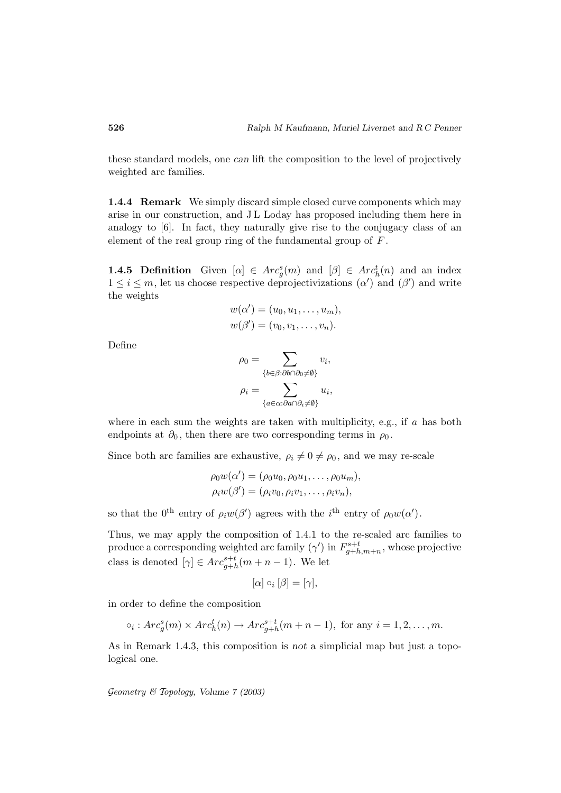these standard models, one *can* lift the composition to the level of projectively weighted arc families.

**1.4.4 Remark** We simply discard simple closed curve components which may arise in our construction, and J L Loday has proposed including them here in analogy to [6]. In fact, they naturally give rise to the conjugacy class of an element of the real group ring of the fundamental group of F .

**1.4.5 Definition** Given  $[\alpha] \in Arc_g^s(m)$  and  $[\beta] \in Arc_h^t(n)$  and an index  $1 \leq i \leq m$ , let us choose respective deprojectivizations  $(\alpha')$  and  $(\beta')$  and write the weights

$$
w(\alpha') = (u_0, u_1, \dots, u_m),
$$
  

$$
w(\beta') = (v_0, v_1, \dots, v_n).
$$
  

$$
\rho_0 = \sum v_i,
$$

Define

$$
\rho_0 = \sum_{\{b \in \beta : \partial b \cap \partial_0 \neq \emptyset\}} v_i,
$$

$$
\rho_i = \sum_{\{a \in \alpha : \partial a \cap \partial_i \neq \emptyset\}} u_i,
$$

where in each sum the weights are taken with multiplicity, e.g., if  $a$  has both endpoints at  $\partial_0$ , then there are two corresponding terms in  $\rho_0$ .

Since both arc families are exhaustive,  $\rho_i \neq 0 \neq \rho_0$ , and we may re-scale

$$
\rho_0 w(\alpha') = (\rho_0 u_0, \rho_0 u_1, \dots, \rho_0 u_m),
$$
  

$$
\rho_i w(\beta') = (\rho_i v_0, \rho_i v_1, \dots, \rho_i v_n),
$$

so that the 0<sup>th</sup> entry of  $\rho_i w(\beta')$  agrees with the *i*<sup>th</sup> entry of  $\rho_0 w(\alpha')$ .

Thus, we may apply the composition of 1.4.1 to the re-scaled arc families to produce a corresponding weighted arc family  $(\gamma')$  in  $F_{g+h,m+n}^{s+t}$ , whose projective class is denoted  $[\gamma] \in Arc_{g+h}^{s+t}(m+n-1)$ . We let

$$
[\alpha] \circ_i [\beta] = [\gamma],
$$

in order to define the composition

$$
\circ_i: Arc_g^s(m) \times Arc_h^t(n) \to Arc_{g+h}^{s+t}(m+n-1), \text{ for any } i = 1, 2, \dots, m.
$$

As in Remark 1.4.3, this composition is *not* a simplicial map but just a topological one.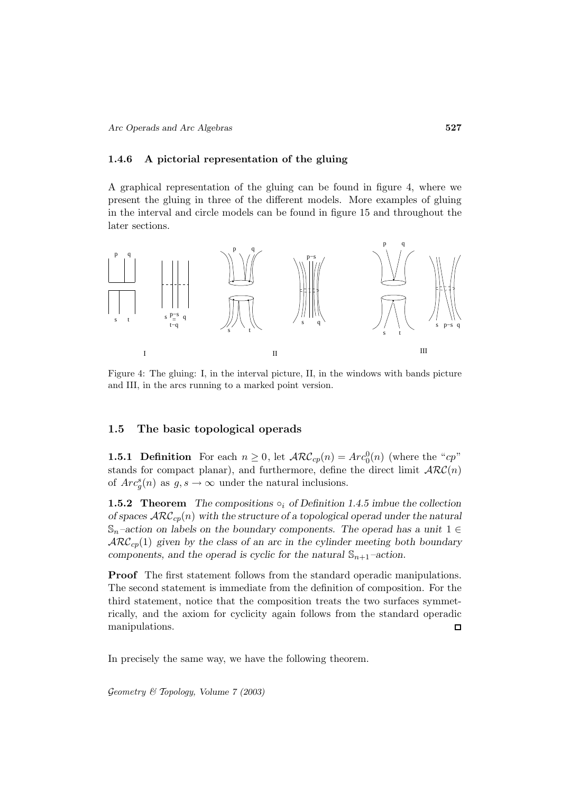#### **1.4.6 A pictorial representation of the gluing**

A graphical representation of the gluing can be found in figure 4, where we present the gluing in three of the different models. More examples of gluing in the interval and circle models can be found in figure 15 and throughout the later sections.



Figure 4: The gluing: I, in the interval picture, II, in the windows with bands picture and III, in the arcs running to a marked point version.

#### **1.5 The basic topological operads**

**1.5.1 Definition** For each  $n \geq 0$ , let  $\mathcal{ARC}_{cp}(n) = Arc_0^0(n)$  (where the "cp" stands for compact planar), and furthermore, define the direct limit  $\mathcal{ARC}(n)$ of  $Arc_g^s(n)$  as  $g, s \to \infty$  under the natural inclusions.

**1.5.2 Theorem** *The compositions*  $\circ_i$  *of Definition 1.4.5 imbue the collection of spaces*  $\text{ARC}_{cp}(n)$  *with the structure of a topological operad under the natural*  $\mathbb{S}_n$ –action on labels on the boundary components. The operad has a unit  $1 \in$  $\mathcal{ARC}_{cp}(1)$  given by the class of an arc in the cylinder meeting both boundary *components, and the operad is cyclic for the natural*  $\mathbb{S}_{n+1}$ *-action.* 

**Proof** The first statement follows from the standard operadic manipulations. The second statement is immediate from the definition of composition. For the third statement, notice that the composition treats the two surfaces symmetrically, and the axiom for cyclicity again follows from the standard operadic manipulations.  $\Box$ 

In precisely the same way, we have the following theorem.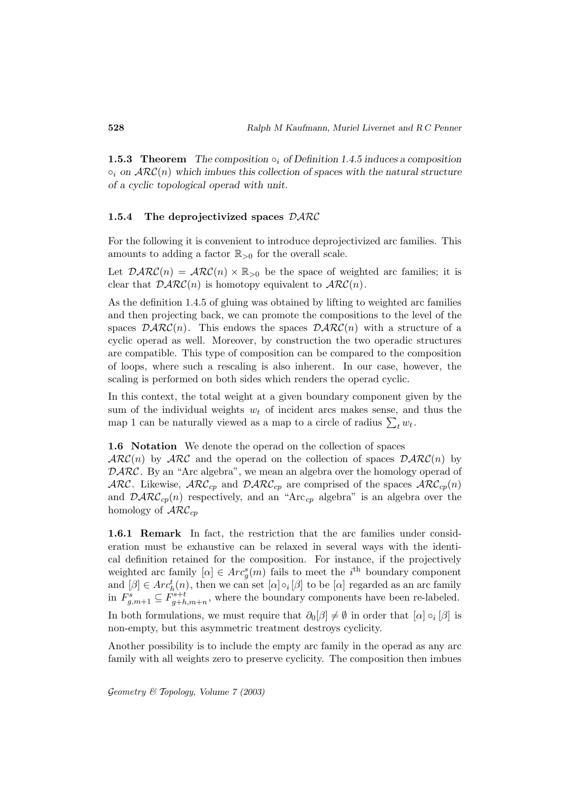**1.5.3 Theorem** *The composition*  $\circ_i$  *of Definition 1.4.5 induces a composition*  $\circ_i$  on  $\text{ARC}(n)$  which imbues this collection of spaces with the natural structure *of a cyclic topological operad with unit.*

#### **1.5.4 The deprojectivized spaces** DARC

For the following it is convenient to introduce deprojectivized arc families. This amounts to adding a factor  $\mathbb{R}_{>0}$  for the overall scale.

Let  $\mathcal{D} \mathcal{A} \mathcal{R} \mathcal{C}(n) = \mathcal{A} \mathcal{R} \mathcal{C}(n) \times \mathbb{R}_{>0}$  be the space of weighted arc families; it is clear that  $\mathcal{D} \mathcal{A} \mathcal{R} \mathcal{C}(n)$  is homotopy equivalent to  $\mathcal{A} \mathcal{R} \mathcal{C}(n)$ .

As the definition 1.4.5 of gluing was obtained by lifting to weighted arc families and then projecting back, we can promote the compositions to the level of the spaces  $\mathcal{D} \mathcal{ARC}(n)$ . This endows the spaces  $\mathcal{D} \mathcal{ARC}(n)$  with a structure of a cyclic operad as well. Moreover, by construction the two operadic structures are compatible. This type of composition can be compared to the composition of loops, where such a rescaling is also inherent. In our case, however, the scaling is performed on both sides which renders the operad cyclic.

In this context, the total weight at a given boundary component given by the sum of the individual weights  $w_t$  of incident arcs makes sense, and thus the of loops, where such a rescaling is also inherent. In our case,<br>scaling is performed on both sides which renders the operad cyc<br>In this context, the total weight at a given boundary componen<br>sum of the individual weights map 1 can be naturally viewed as a map to a circle of radius  $\sum_t w_t$ .

#### **1.6 Notation** We denote the operad on the collection of spaces

 $\mathcal{ARC}(n)$  by  $\mathcal{ARC}$  and the operad on the collection of spaces  $\mathcal{D} \mathcal{ARC}(n)$  by DARC. By an "Arc algebra", we mean an algebra over the homology operad of ARC. Likewise,  $\text{ARC}_{cp}$  and  $\text{DATAC}_{cp}$  are comprised of the spaces  $\text{ARC}_{cp}(n)$ and  $\mathcal{D} \mathcal{A} \mathcal{R} \mathcal{C}_{cp}(n)$  respectively, and an "Arc<sub>cp</sub> algebra" is an algebra over the homology of  $\mathcal{ARC}_{cp}$ 

**1.6.1 Remark** In fact, the restriction that the arc families under consideration must be exhaustive can be relaxed in several ways with the identical definition retained for the composition. For instance, if the projectively weighted arc family  $[\alpha] \in Arc_g^s(m)$  fails to meet the *i*<sup>th</sup> boundary component and  $[\beta] \in Arc_h^t(n)$ , then we can set  $[\alpha] \circ [0]$  to be  $[\alpha]$  regarded as an arc family in  $F_{g,m+1}^s \subseteq F_{g+h,m+n}^{s+t}$ , where the boundary components have been re-labeled. In both formulations, we must require that  $\partial_0[\beta] \neq \emptyset$  in order that  $[\alpha] \circ_i [\beta]$  is non-empty, but this asymmetric treatment destroys cyclicity.

Another possibility is to include the empty arc family in the operad as any arc family with all weights zero to preserve cyclicity. The composition then imbues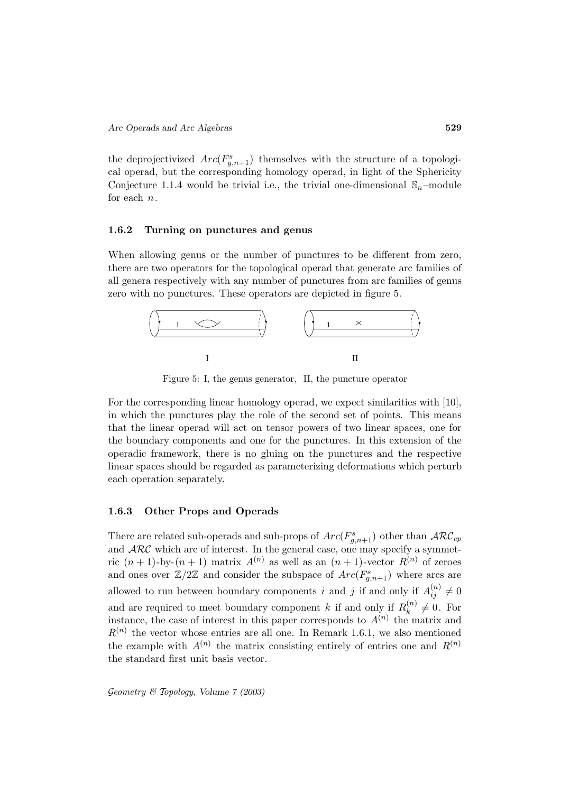the deprojectivized  $Arc(F^s_{g,n+1})$  themselves with the structure of a topological operad, but the corresponding homology operad, in light of the Sphericity Conjecture 1.1.4 would be trivial i.e., the trivial one-dimensional  $\mathcal{S}_n$ -module for each n.

#### **1.6.2 Turning on punctures and genus**

When allowing genus or the number of punctures to be different from zero, there are two operators for the topological operad that generate arc families of all genera respectively with any number of punctures from arc families of genus zero with no punctures. These operators are depicted in figure 5.



Figure 5: I, the genus generator, II, the puncture operator

For the corresponding linear homology operad, we expect similarities with [10], in which the punctures play the role of the second set of points. This means that the linear operad will act on tensor powers of two linear spaces, one for the boundary components and one for the punctures. In this extension of the operadic framework, there is no gluing on the punctures and the respective linear spaces should be regarded as parameterizing deformations which perturb each operation separately.

#### **1.6.3 Other Props and Operads**

There are related sub-operads and sub-props of  $Arc(F^s_{g,n+1})$  other than  $\mathcal{ARC}_{cp}$ and  $\text{ARC}$  which are of interest. In the general case, one may specify a symmetric  $(n+1)$ -by- $(n+1)$  matrix  $A^{(n)}$  as well as an  $(n+1)$ -vector  $R^{(n)}$  of zeroes and ones over  $\mathbb{Z}/2\mathbb{Z}$  and consider the subspace of  $Arc(F^s_{g,n+1})$  where arcs are allowed to run between boundary components i and j if and only if  $A_{ij}^{(n)} \neq 0$ and are required to meet boundary component k if and only if  $R_k^{(n)} \neq 0$ . For instance, the case of interest in this paper corresponds to  $A^{(n)}$  the matrix and  $R^{(n)}$  the vector whose entries are all one. In Remark 1.6.1, we also mentioned the example with  $A^{(n)}$  the matrix consisting entirely of entries one and  $R^{(n)}$ the standard first unit basis vector.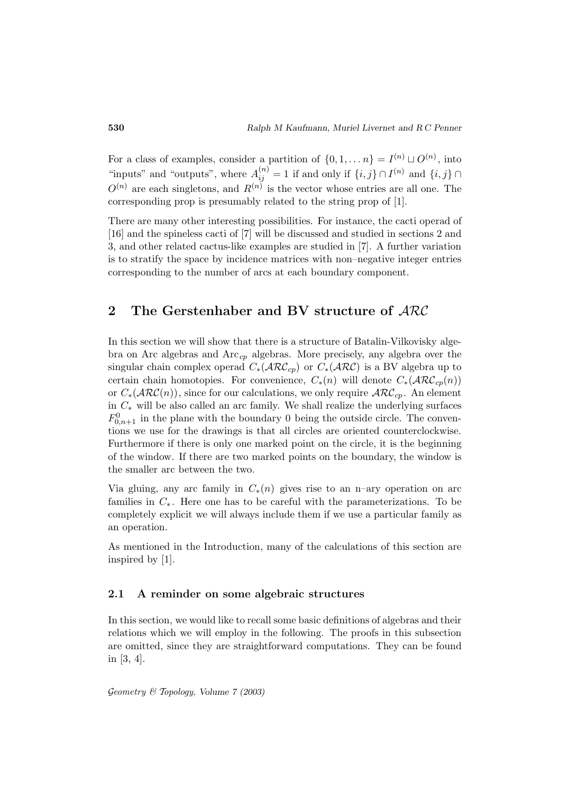For a class of examples, consider a partition of  $\{0, 1, \ldots n\} = I^{(n)} \sqcup O^{(n)}$ , into "inputs" and "outputs", where  $A_{ij}^{(n)} = 1$  if and only if  $\{i, j\} \cap I^{(n)}$  and  $\{i, j\} \cap$  $O^{(n)}$  are each singletons, and  $R^{(n)}$  is the vector whose entries are all one. The corresponding prop is presumably related to the string prop of [1].

There are many other interesting possibilities. For instance, the cacti operad of [16] and the spineless cacti of [7] will be discussed and studied in sections 2 and 3, and other related cactus-like examples are studied in [7]. A further variation is to stratify the space by incidence matrices with non–negative integer entries corresponding to the number of arcs at each boundary component.

# **2 The Gerstenhaber and BV structure of** ARC

In this section we will show that there is a structure of Batalin-Vilkovisky algebra on Arc algebras and  $Arc_{cp}$  algebras. More precisely, any algebra over the singular chain complex operad  $C_*(\mathcal{ARC}_{cp})$  or  $C_*(\mathcal{ARC})$  is a BV algebra up to certain chain homotopies. For convenience,  $C_*(n)$  will denote  $C_*(\mathcal{ARC}_{cp}(n))$ or  $C_*(\text{ARC}(n))$ , since for our calculations, we only require  $\text{ARC}_{cp}$ . An element in C<sup>∗</sup> will be also called an arc family. We shall realize the underlying surfaces  $F_{0,n+1}^0$  in the plane with the boundary 0 being the outside circle. The conventions we use for the drawings is that all circles are oriented counterclockwise. Furthermore if there is only one marked point on the circle, it is the beginning of the window. If there are two marked points on the boundary, the window is the smaller arc between the two.

Via gluing, any arc family in  $C_*(n)$  gives rise to an n–ary operation on arc families in  $C_*$ . Here one has to be careful with the parameterizations. To be completely explicit we will always include them if we use a particular family as an operation.

As mentioned in the Introduction, many of the calculations of this section are inspired by [1].

#### **2.1 A reminder on some algebraic structures**

In this section, we would like to recall some basic definitions of algebras and their relations which we will employ in the following. The proofs in this subsection are omitted, since they are straightforward computations. They can be found in [3, 4].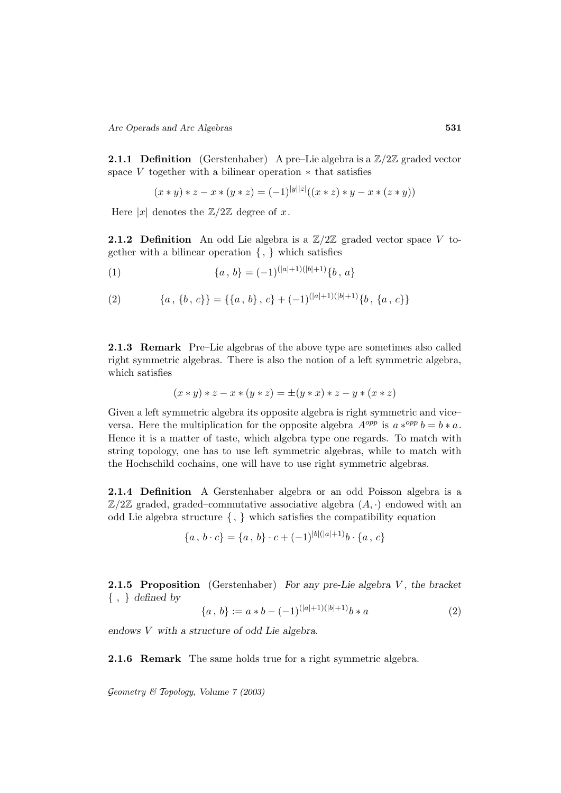**2.1.1 Definition** (Gerstenhaber) A pre–Lie algebra is a  $\mathbb{Z}/2\mathbb{Z}$  graded vector space  $V$  together with a bilinear operation  $*$  that satisfies

$$
(x * y) * z - x * (y * z) = (-1)^{|y||z|}((x * z) * y - x * (z * y))
$$

Here  $|x|$  denotes the  $\mathbb{Z}/2\mathbb{Z}$  degree of x.

**2.1.2 Definition** An odd Lie algebra is a  $\mathbb{Z}/2\mathbb{Z}$  graded vector space V together with a bilinear operation  $\{ , \}$  which satisfies

(1) 
$$
\{a, b\} = (-1)^{(|a|+1)(|b|+1)} \{b, a\}
$$

(2) 
$$
\{a, \{b, c\}\} = \{\{a, b\}, c\} + (-1)^{(|a|+1)(|b|+1)}\{b, \{a, c\}\}\
$$

**2.1.3 Remark** Pre–Lie algebras of the above type are sometimes also called right symmetric algebras. There is also the notion of a left symmetric algebra, which satisfies

$$
(x * y) * z - x * (y * z) = \pm (y * x) * z - y * (x * z)
$$

Given a left symmetric algebra its opposite algebra is right symmetric and vice– versa. Here the multiplication for the opposite algebra  $A^{opp}$  is  $a *^{opp} b = b * a$ . Hence it is a matter of taste, which algebra type one regards. To match with string topology, one has to use left symmetric algebras, while to match with the Hochschild cochains, one will have to use right symmetric algebras.

**2.1.4 Definition** A Gerstenhaber algebra or an odd Poisson algebra is a  $\mathbb{Z}/2\mathbb{Z}$  graded, graded–commutative associative algebra  $(A, \cdot)$  endowed with an odd Lie algebra structure { , } which satisfies the compatibility equation

$$
\{a\,,\,b\cdot c\} = \{a\,,\,b\}\cdot c + (-1)^{|b|(|a|+1)}b\cdot\{a\,,\,c\}
$$

**2.1.5 Proposition** (Gerstenhaber) *For any pre-Lie algebra* V, the bracket { , } *defined by*

$$
\{a, b\} := a * b - (-1)^{(|a|+1)(|b|+1)} b * a \tag{2}
$$

*endows* V *with a structure of odd Lie algebra.*

**2.1.6 Remark** The same holds true for a right symmetric algebra.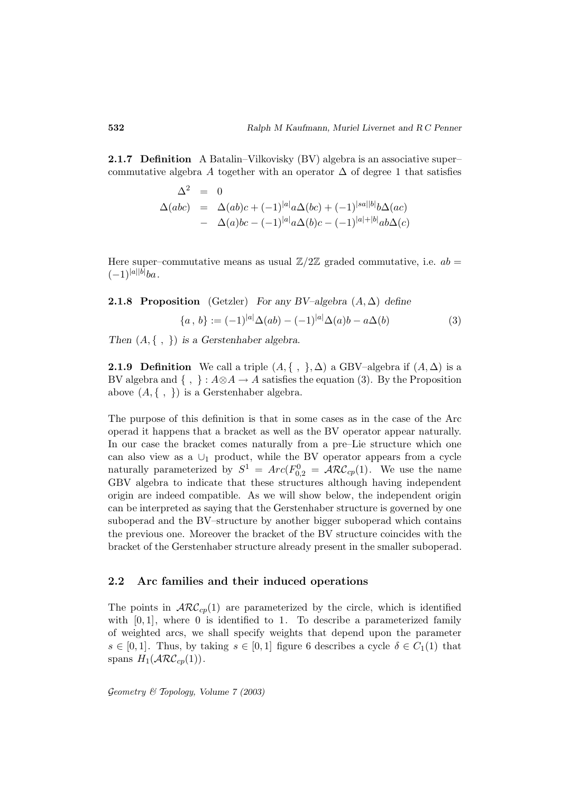**2.1.7 Definition** A Batalin–Vilkovisky (BV) algebra is an associative super– commutative algebra A together with an operator  $\Delta$  of degree 1 that satisfies

$$
\Delta^2 = 0
$$
  
\n
$$
\Delta(abc) = \Delta(ab)c + (-1)^{|a|}a\Delta(bc) + (-1)^{|sa||b|}b\Delta(ac)
$$
  
\n
$$
- \Delta(a)bc - (-1)^{|a|}a\Delta(b)c - (-1)^{|a|+|b|}ab\Delta(c)
$$

Here super–commutative means as usual  $\mathbb{Z}/2\mathbb{Z}$  graded commutative, i.e.  $ab =$  $(-1)^{|a||b|}ba.$ 

#### **2.1.8 Proposition** (Getzler) *For any BV–algebra* (A, ∆) *define*

$$
\{a, b\} := (-1)^{|a|} \Delta(ab) - (-1)^{|a|} \Delta(a) b - a \Delta(b)
$$
 (3)

*Then* (A, { , }) *is a Gerstenhaber algebra.*

**2.1.9 Definition** We call a triple  $(A, \{ , \}, \Delta)$  a GBV–algebra if  $(A, \Delta)$  is a BV algebra and  $\{ , \} : A \otimes A \to A$  satisfies the equation (3). By the Proposition above  $(A, \{ , \})$  is a Gerstenhaber algebra.

The purpose of this definition is that in some cases as in the case of the Arc operad it happens that a bracket as well as the BV operator appear naturally. In our case the bracket comes naturally from a pre–Lie structure which one can also view as a  $\cup_1$  product, while the BV operator appears from a cycle naturally parameterized by  $S^1 = Arc(F_{0,2}^0 = \mathcal{ARC}_{cp}(1)$ . We use the name GBV algebra to indicate that these structures although having independent origin are indeed compatible. As we will show below, the independent origin can be interpreted as saying that the Gerstenhaber structure is governed by one suboperad and the BV–structure by another bigger suboperad which contains the previous one. Moreover the bracket of the BV structure coincides with the bracket of the Gerstenhaber structure already present in the smaller suboperad.

### **2.2 Arc families and their induced operations**

The points in  $\mathcal{ARC}_{cp}(1)$  are parameterized by the circle, which is identified with  $[0, 1]$ , where 0 is identified to 1. To describe a parameterized family of weighted arcs, we shall specify weights that depend upon the parameter  $s \in [0,1]$ . Thus, by taking  $s \in [0,1]$  figure 6 describes a cycle  $\delta \in C_1(1)$  that spans  $H_1(\mathcal{ARC}_{cp}(1))$ .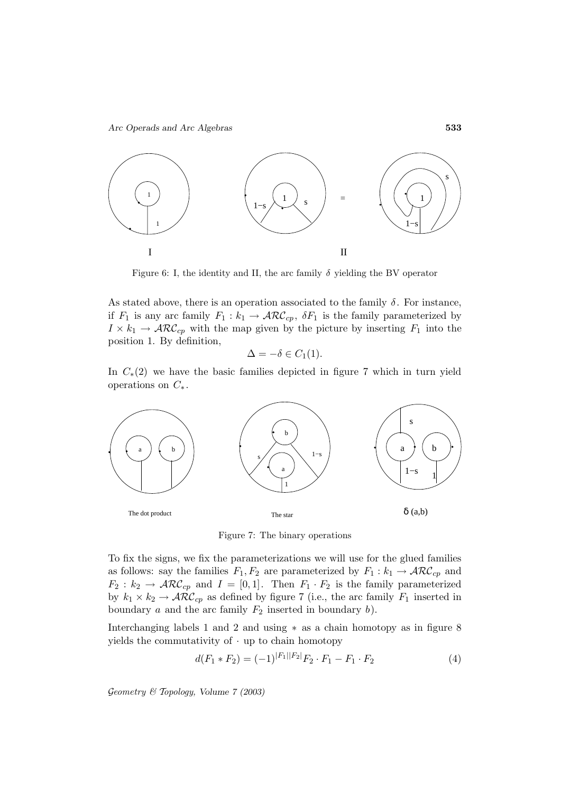

Figure 6: I, the identity and II, the arc family  $\delta$  yielding the BV operator

As stated above, there is an operation associated to the family  $\delta$ . For instance, if  $F_1$  is any arc family  $F_1 : k_1 \to \mathcal{ARC}_{cp}$ ,  $\delta F_1$  is the family parameterized by  $I \times k_1 \to \mathcal{ARC}_{cp}$  with the map given by the picture by inserting  $F_1$  into the position 1. By definition,

$$
\Delta = -\delta \in C_1(1).
$$

In  $C_*(2)$  we have the basic families depicted in figure 7 which in turn yield operations on  $C_*$ .



Figure 7: The binary operations

To fix the signs, we fix the parameterizations we will use for the glued families as follows: say the families  $F_1, F_2$  are parameterized by  $F_1 : k_1 \to \mathcal{ARC}_{cp}$  and  $F_2 : k_2 \to \mathcal{ARC}_{cp}$  and  $I = [0, 1]$ . Then  $F_1 \cdot F_2$  is the family parameterized by  $k_1 \times k_2 \to \mathcal{ARC}_{cp}$  as defined by figure 7 (i.e., the arc family  $F_1$  inserted in boundary  $a$  and the arc family  $F_2$  inserted in boundary  $b$ ).

Interchanging labels 1 and 2 and using ∗ as a chain homotopy as in figure 8 yields the commutativity of  $\cdot$  up to chain homotopy

$$
d(F_1 * F_2) = (-1)^{|F_1||F_2|} F_2 \cdot F_1 - F_1 \cdot F_2 \tag{4}
$$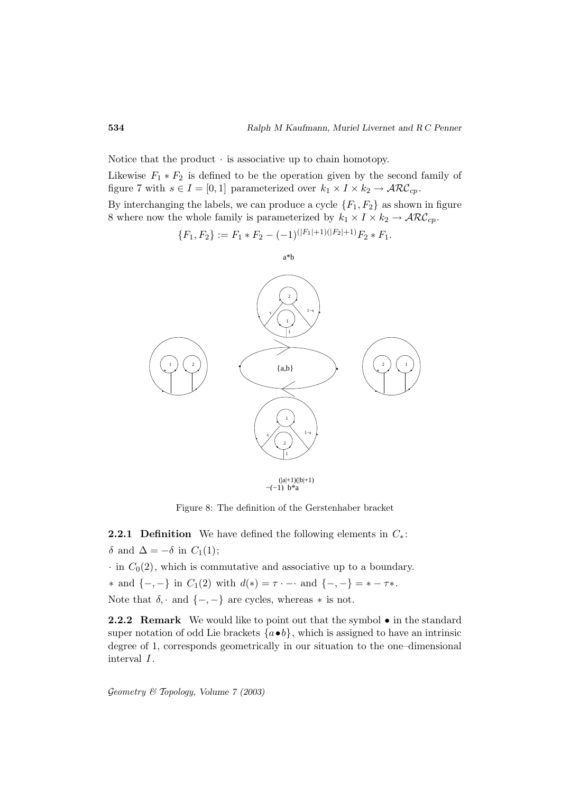Notice that the product  $\cdot$  is associative up to chain homotopy.

Likewise  $F_1 * F_2$  is defined to be the operation given by the second family of figure 7 with  $s \in I = [0, 1]$  parameterized over  $k_1 \times I \times k_2 \rightarrow \mathcal{ARC}_{cp}$ .

By interchanging the labels, we can produce a cycle  $\{F_1, F_2\}$  as shown in figure 8 where now the whole family is parameterized by  $k_1 \times I \times k_2 \rightarrow \mathcal{ARC}_{cp}$ .

$$
\{F_1, F_2\} := F_1 * F_2 - (-1)^{(|F_1|+1)(|F_2|+1)} F_2 * F_1.
$$



Figure 8: The definition of the Gerstenhaber bracket

**2.2.1 Definition** We have defined the following elements in  $C_*$ : δ and  $\Delta = -\delta$  in  $C_1(1)$ ;

 $\cdot$  in  $C_0(2)$ , which is commutative and associative up to a boundary.

\* and  $\{-,-\}$  in  $C_1(2)$  with  $d(*) = \tau \cdot - \cdot$  and  $\{-,-\} = \cdot - \tau$ . Note that  $\delta$ , · and  $\{-, -\}$  are cycles, whereas  $*$  is not.

2.2.2 Remark We would like to point out that the symbol  $\bullet$  in the standard super notation of odd Lie brackets  $\{a \bullet b\}$ , which is assigned to have an intrinsic degree of 1, corresponds geometrically in our situation to the one–dimensional interval  $I$ .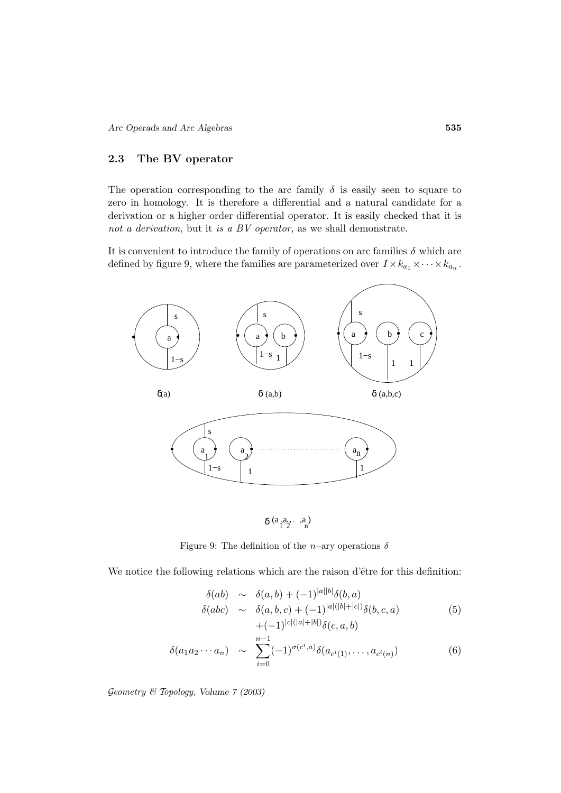## **2.3 The BV operator**

The operation corresponding to the arc family  $\delta$  is easily seen to square to zero in homology. It is therefore a differential and a natural candidate for a derivation or a higher order differential operator. It is easily checked that it is not a derivation, but it is a BV operator, as we shall demonstrate.

It is convenient to introduce the family of operations on arc families  $\delta$  which are defined by figure 9, where the families are parameterized over  $I \times k_{a_1} \times \cdots \times k_{a_n}$ .



Figure 9: The definition of the n–ary operations  $\delta$ 

We notice the following relations which are the raison d'être for this definition:

$$
\delta(ab) \sim \delta(a,b) + (-1)^{|a||b|} \delta(b,a)
$$
  
\n
$$
\delta(abc) \sim \delta(a,b,c) + (-1)^{|a|(|b|+|c|)} \delta(b,c,a)
$$
  
\n
$$
+ (-1)^{|c|(|a|+|b|)} \delta(c,a,b)
$$
\n(5)

$$
\delta(a_1 a_2 \cdots a_n) \sim \sum_{i=0}^{n-1} (-1)^{\sigma(c^i, a)} \delta(a_{c^i(1)}, \dots, a_{c^i(n)}) \tag{6}
$$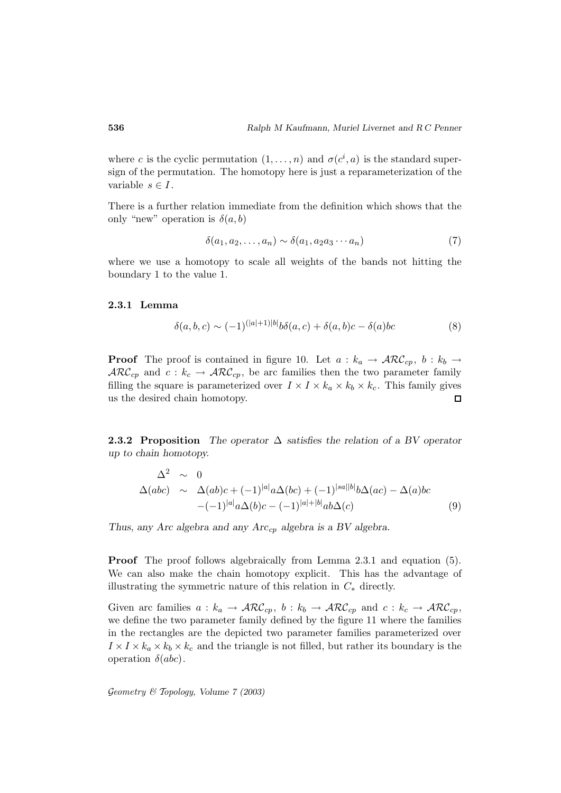where c is the cyclic permutation  $(1,\ldots,n)$  and  $\sigma(c^i,a)$  is the standard supersign of the permutation. The homotopy here is just a reparameterization of the variable  $s \in I$ .

There is a further relation immediate from the definition which shows that the only "new" operation is  $\delta(a, b)$ 

$$
\delta(a_1, a_2, \dots, a_n) \sim \delta(a_1, a_2 a_3 \cdots a_n) \tag{7}
$$

where we use a homotopy to scale all weights of the bands not hitting the boundary 1 to the value 1.

#### **2.3.1 Lemma**

$$
\delta(a, b, c) \sim (-1)^{(|a|+1)|b|} b\delta(a, c) + \delta(a, b)c - \delta(a)bc \tag{8}
$$

**Proof** The proof is contained in figure 10. Let  $a : k_a \to \mathcal{ARC}_{cp}, b : k_b \to$  $\mathcal{ARC}_{cp}$  and  $c : k_c \to \mathcal{ARC}_{cp}$ , be arc families then the two parameter family filling the square is parameterized over  $I \times I \times k_a \times k_b \times k_c$ . This family gives us the desired chain homotopy.  $\Box$ 

**2.3.2 Proposition** *The operator* ∆ *satisfies the relation of a BV operator up to chain homotopy.*

$$
\Delta^2 \sim 0
$$
  
\n
$$
\Delta(abc) \sim \Delta(ab)c + (-1)^{|a|} a \Delta(bc) + (-1)^{|sa||b|} b \Delta(ac) - \Delta(a)bc
$$
  
\n
$$
-(-1)^{|a|} a \Delta(b)c - (-1)^{|a|+|b|} ab \Delta(c)
$$
\n(9)

*Thus, any Arc algebra and any Arc*cp *algebra is a BV algebra.*

**Proof** The proof follows algebraically from Lemma 2.3.1 and equation (5). We can also make the chain homotopy explicit. This has the advantage of illustrating the symmetric nature of this relation in  $C_*$  directly.

Given arc families  $a : k_a \to \mathcal{ARC}_{cp}, b : k_b \to \mathcal{ARC}_{cp}$  and  $c : k_c \to \mathcal{ARC}_{cp}$ , we define the two parameter family defined by the figure 11 where the families in the rectangles are the depicted two parameter families parameterized over  $I \times I \times k_a \times k_b \times k_c$  and the triangle is not filled, but rather its boundary is the operation  $\delta(abc)$ .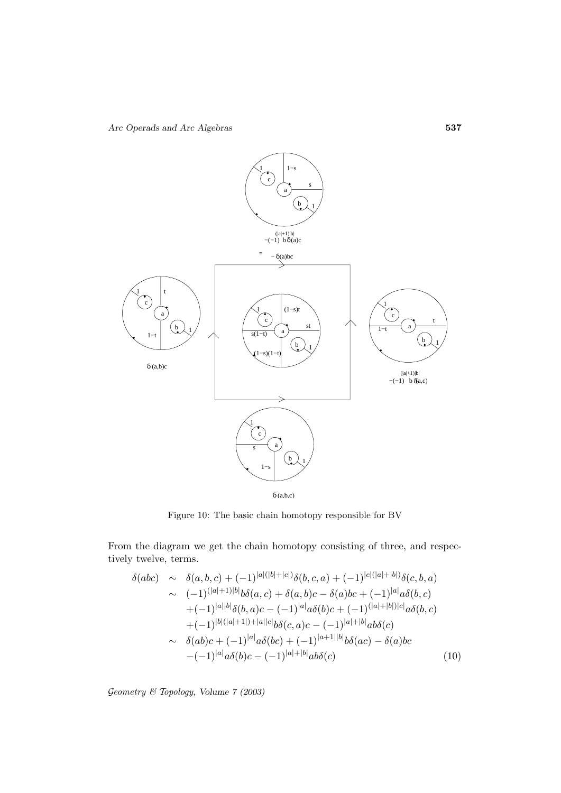

Figure 10: The basic chain homotopy responsible for BV

From the diagram we get the chain homotopy consisting of three, and respectively twelve, terms.

$$
\delta(abc) \sim \delta(a, b, c) + (-1)^{|a|(|b|+|c|)} \delta(b, c, a) + (-1)^{|c|(|a|+|b|)} \delta(c, b, a)
$$
  
\sim 
$$
(-1)^{(|a|+1)|b|} b\delta(a, c) + \delta(a, b)c - \delta(a)bc + (-1)^{|a|} a\delta(b, c)
$$
  
\n
$$
+ (-1)^{|a||b|} \delta(b, a)c - (-1)^{|a|} a\delta(b)c + (-1)^{(|a|+|b|)}c|a\delta(b, c)
$$
  
\n
$$
\sim \delta(ab)c + (-1)^{|a|} a\delta(bc) + (-1)^{|a+1||b|} b\delta(ac) - \delta(a)bc
$$
  
\n
$$
- (-1)^{|a|} a\delta(b)c - (-1)^{|a|+|b|} ab\delta(c) \qquad (10)
$$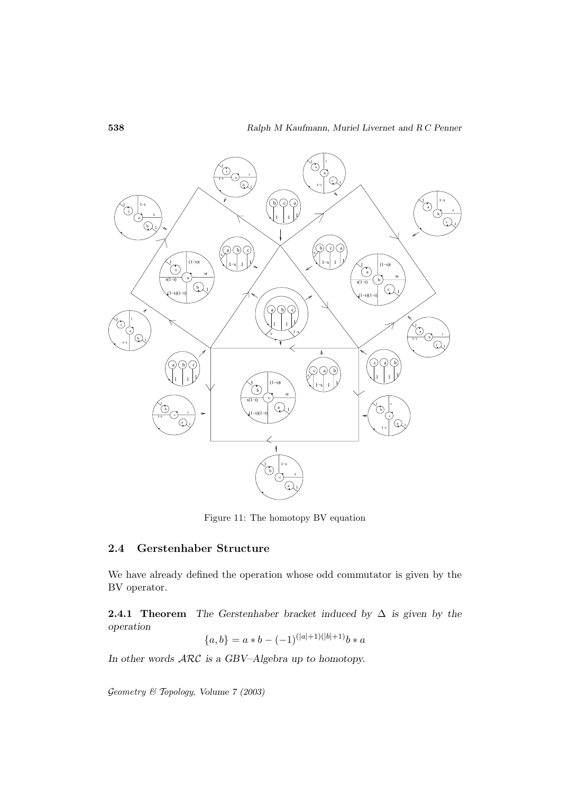

Figure 11: The homotopy BV equation

# **2.4 Gerstenhaber Structure**

We have already defined the operation whose odd commutator is given by the BV operator.

**2.4.1 Theorem** *The Gerstenhaber bracket induced by* ∆ *is given by the operation*

$$
\{a, b\} = a * b - (-1)^{(|a|+1)(|b|+1)}b * a
$$

*In other words* ARC *is a GBV–Algebra up to homotopy.*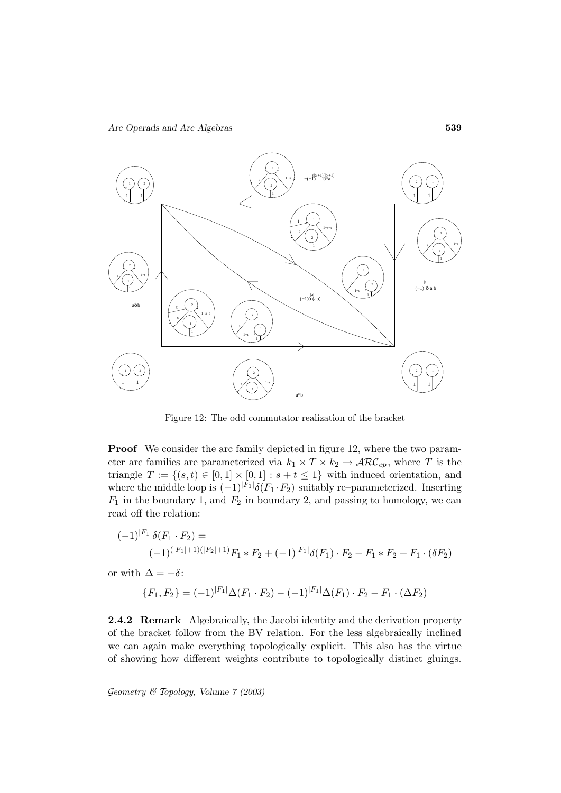

Figure 12: The odd commutator realization of the bracket

**Proof** We consider the arc family depicted in figure 12, where the two parameter arc families are parameterized via  $k_1 \times T \times k_2 \to \mathcal{ARC}_{cp}$ , where T is the triangle  $T := \{(s, t) \in [0, 1] \times [0, 1] : s + t \leq 1\}$  with induced orientation, and where the middle loop is  $(-1)^{|F_1|} \delta(F_1 \cdot F_2)$  suitably re–parameterized. Inserting  $F_1$  in the boundary 1, and  $F_2$  in boundary 2, and passing to homology, we can read off the relation:

$$
(-1)^{|F_1|} \delta(F_1 \cdot F_2) =
$$
  

$$
(-1)^{(|F_1|+1)(|F_2|+1)} F_1 * F_2 + (-1)^{|F_1|} \delta(F_1) \cdot F_2 - F_1 * F_2 + F_1 \cdot (\delta F_2)
$$

or with  $\Delta = -\delta$ :

$$
\{F_1, F_2\} = (-1)^{|F_1|} \Delta(F_1 \cdot F_2) - (-1)^{|F_1|} \Delta(F_1) \cdot F_2 - F_1 \cdot (\Delta F_2)
$$

**2.4.2 Remark** Algebraically, the Jacobi identity and the derivation property of the bracket follow from the BV relation. For the less algebraically inclined we can again make everything topologically explicit. This also has the virtue of showing how different weights contribute to topologically distinct gluings.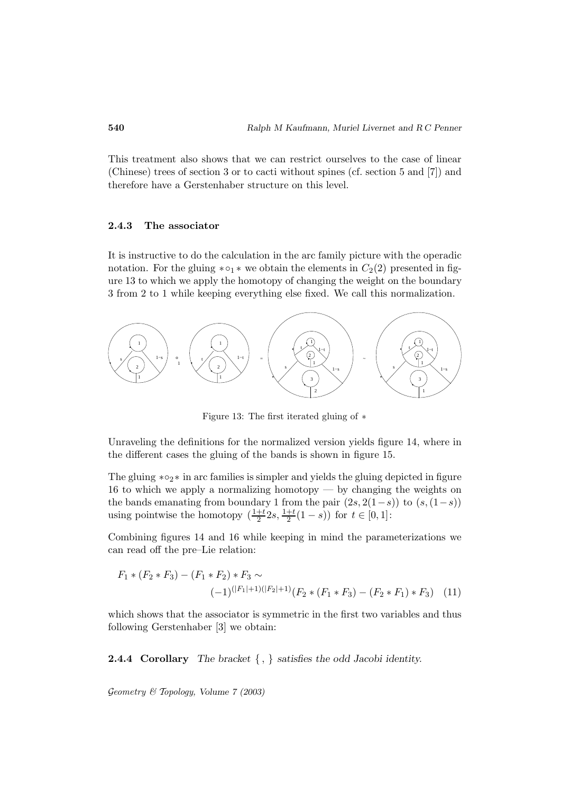This treatment also shows that we can restrict ourselves to the case of linear (Chinese) trees of section 3 or to cacti without spines (cf. section 5 and [7]) and therefore have a Gerstenhaber structure on this level.

#### **2.4.3 The associator**

It is instructive to do the calculation in the arc family picture with the operadic notation. For the gluing  $* \circ_1 *$  we obtain the elements in  $C_2(2)$  presented in figure 13 to which we apply the homotopy of changing the weight on the boundary 3 from 2 to 1 while keeping everything else fixed. We call this normalization.



Figure 13: The first iterated gluing of ∗

Unraveling the definitions for the normalized version yields figure 14, where in the different cases the gluing of the bands is shown in figure 15.

The gluing  $* \circ_2 *$  in arc families is simpler and yields the gluing depicted in figure 16 to which we apply a normalizing homotopy — by changing the weights on the bands emanating from boundary 1 from the pair  $(2s, 2(1-s))$  to  $(s, (1-s))$ using pointwise the homotopy  $\left(\frac{1+t}{2}2s, \frac{1+t}{2}(1-s)\right)$  for  $t \in [0,1]$ :

Combining figures 14 and 16 while keeping in mind the parameterizations we can read off the pre–Lie relation:

$$
F_1 * (F_2 * F_3) - (F_1 * F_2) * F_3 \sim
$$
  

$$
(-1)^{(|F_1|+1)(|F_2|+1)} (F_2 * (F_1 * F_3) - (F_2 * F_1) * F_3)
$$
 (11)

which shows that the associator is symmetric in the first two variables and thus following Gerstenhaber [3] we obtain:

**2.4.4 Corollary** *The bracket* { , } *satisfies the odd Jacobi identity.*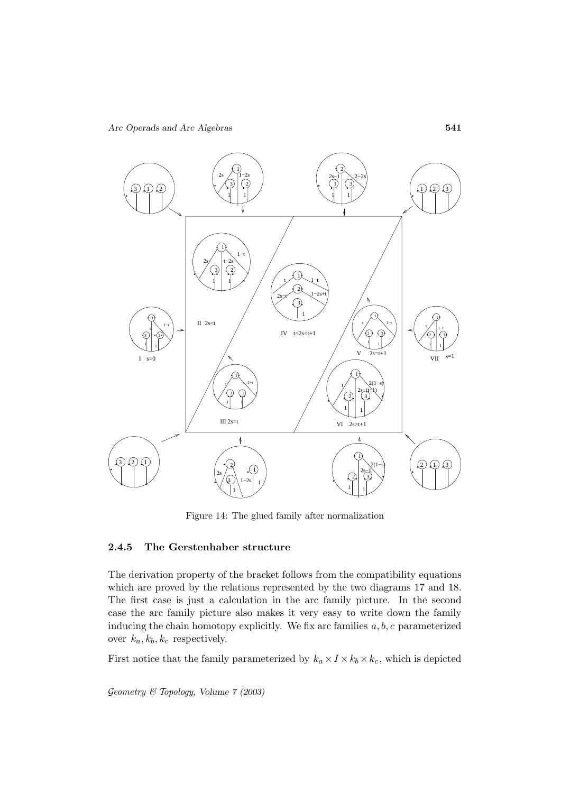

Figure 14: The glued family after normalization

#### **2.4.5 The Gerstenhaber structure**

The derivation property of the bracket follows from the compatibility equations which are proved by the relations represented by the two diagrams 17 and 18. The first case is just a calculation in the arc family picture. In the second case the arc family picture also makes it very easy to write down the family inducing the chain homotopy explicitly. We fix arc families  $a, b, c$  parameterized over  $k_a, k_b, k_c$  respectively.

First notice that the family parameterized by  $k_a \times I \times k_b \times k_c$ , which is depicted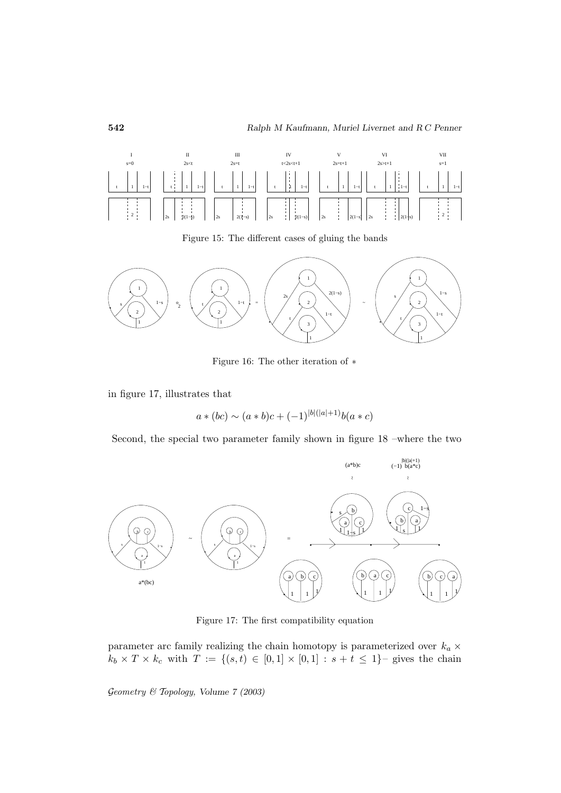

Figure 15: The different cases of gluing the bands



Figure 16: The other iteration of ∗

in figure 17, illustrates that

$$
a * (bc) \sim (a * b)c + (-1)^{|b|(|a|+1)}b(a * c)
$$

Second, the special two parameter family shown in figure 18 –where the two



Figure 17: The first compatibility equation

parameter arc family realizing the chain homotopy is parameterized over  $k_a \times$  $k_b \times T \times k_c$  with  $T := \{(s, t) \in [0, 1] \times [0, 1] : s + t \leq 1\}$ - gives the chain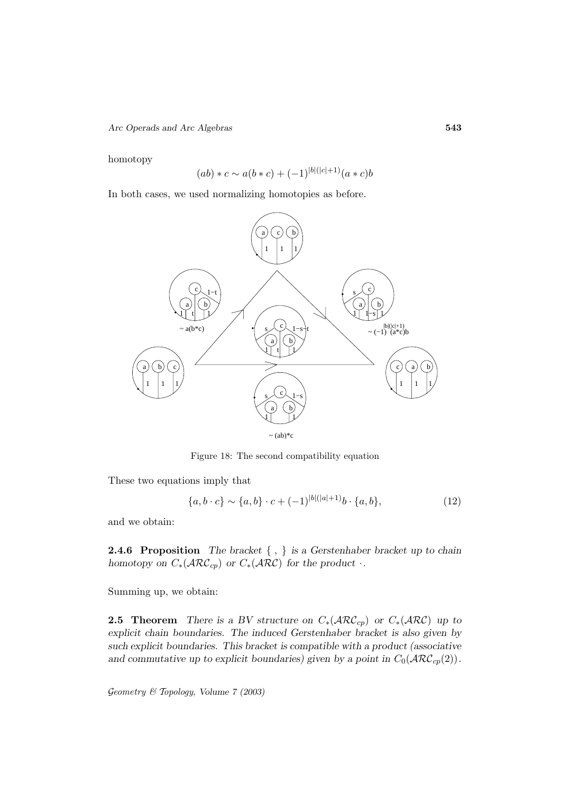*Arc Operads and Arc Algebras* **543**

homotopy

$$
(ab) * c \sim a(b * c) + (-1)^{|b|(|c|+1)} (a * c)b
$$

In both cases, we used normalizing homotopies as before.



Figure 18: The second compatibility equation

These two equations imply that

$$
\{a, b \cdot c\} \sim \{a, b\} \cdot c + (-1)^{|b|(|a|+1)} b \cdot \{a, b\},\tag{12}
$$

and we obtain:

**2.4.6 Proposition** *The bracket* { , } *is a Gerstenhaber bracket up to chain homotopy on*  $C_*(\text{ARC}_{cp})$  *or*  $C_*(\text{ARC})$  *for the product*  $\cdot$ *.* 

Summing up, we obtain:

**2.5 Theorem** *There is a BV structure on*  $C_*(\text{ARC}_c)$  *or*  $C_*(\text{ARC})$  *up to explicit chain boundaries. The induced Gerstenhaber bracket is also given by such explicit boundaries. This bracket is compatible with a product (associative* and commutative up to explicit boundaries) given by a point in  $C_0(\text{ARC}_{cp}(2))$ .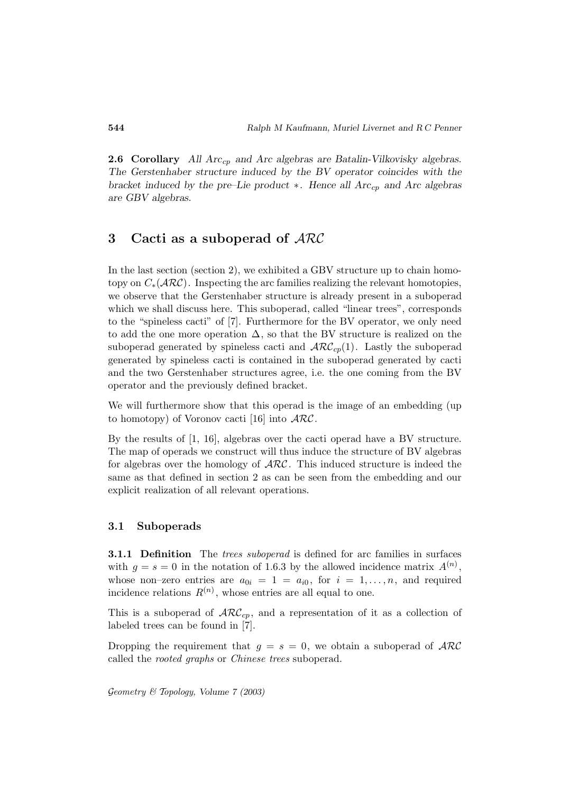**2.6 Corollary** *All Arc<sub>cp</sub> and Arc algebras are Batalin-Vilkovisky algebras. The Gerstenhaber structure induced by the BV operator coincides with the bracket induced by the pre–Lie product* ∗*. Hence all Arc*cp *and Arc algebras are GBV algebras.*

# **3 Cacti as a suboperad of** ARC

In the last section (section 2), we exhibited a GBV structure up to chain homotopy on  $C_*(\text{ARC})$ . Inspecting the arc families realizing the relevant homotopies, we observe that the Gerstenhaber structure is already present in a suboperad which we shall discuss here. This suboperad, called "linear trees", corresponds to the "spineless cacti" of [7]. Furthermore for the BV operator, we only need to add the one more operation  $\Delta$ , so that the BV structure is realized on the suboperad generated by spineless cacti and  $\mathcal{ARC}_{cp}(1)$ . Lastly the suboperad generated by spineless cacti is contained in the suboperad generated by cacti and the two Gerstenhaber structures agree, i.e. the one coming from the BV operator and the previously defined bracket.

We will furthermore show that this operad is the image of an embedding (up to homotopy) of Voronov cacti [16] into  $\mathcal{ARC}$ .

By the results of [1, 16], algebras over the cacti operad have a BV structure. The map of operads we construct will thus induce the structure of BV algebras for algebras over the homology of  $\text{ARC}$ . This induced structure is indeed the same as that defined in section 2 as can be seen from the embedding and our explicit realization of all relevant operations.

#### **3.1 Suboperads**

**3.1.1 Definition** The *trees suboperad* is defined for arc families in surfaces with  $g = s = 0$  in the notation of 1.6.3 by the allowed incidence matrix  $A^{(n)}$ , whose non–zero entries are  $a_{0i} = 1 = a_{i0}$ , for  $i = 1, \ldots, n$ , and required incidence relations  $R^{(n)}$ , whose entries are all equal to one.

This is a suboperad of  $\mathcal{ARC}_{cp}$ , and a representation of it as a collection of labeled trees can be found in [7].

Dropping the requirement that  $g = s = 0$ , we obtain a suboperad of  $\mathcal{ARC}$ called the rooted graphs or Chinese trees suboperad.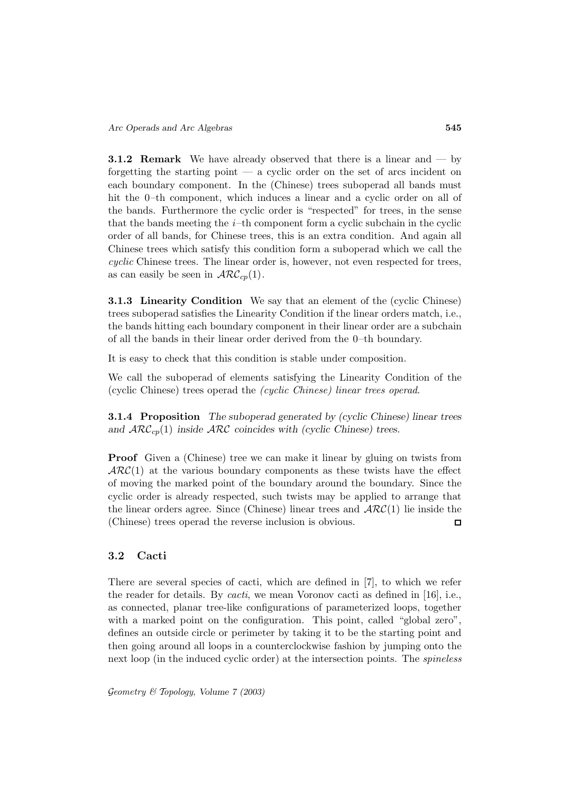**3.1.2 Remark** We have already observed that there is a linear and — by forgetting the starting point — a cyclic order on the set of arcs incident on each boundary component. In the (Chinese) trees suboperad all bands must hit the 0–th component, which induces a linear and a cyclic order on all of the bands. Furthermore the cyclic order is "respected" for trees, in the sense that the bands meeting the  $i$ -th component form a cyclic subchain in the cyclic order of all bands, for Chinese trees, this is an extra condition. And again all Chinese trees which satisfy this condition form a suboperad which we call the cyclic Chinese trees. The linear order is, however, not even respected for trees, as can easily be seen in  $\mathcal{ARC}_{cp}(1)$ .

**3.1.3 Linearity Condition** We say that an element of the (cyclic Chinese) trees suboperad satisfies the Linearity Condition if the linear orders match, i.e., the bands hitting each boundary component in their linear order are a subchain of all the bands in their linear order derived from the 0–th boundary.

It is easy to check that this condition is stable under composition.

We call the suboperad of elements satisfying the Linearity Condition of the (cyclic Chinese) trees operad the (cyclic Chinese) linear trees operad.

**3.1.4 Proposition** *The suboperad generated by (cyclic Chinese) linear trees* and  $\mathcal{ARC}_{cp}(1)$  *inside*  $\mathcal{ARC}$  *coincides with (cyclic Chinese) trees.* 

**Proof** Given a (Chinese) tree we can make it linear by gluing on twists from  $\mathcal{ARC}(1)$  at the various boundary components as these twists have the effect of moving the marked point of the boundary around the boundary. Since the cyclic order is already respected, such twists may be applied to arrange that the linear orders agree. Since (Chinese) linear trees and  $\mathcal{ARC}(1)$  lie inside the (Chinese) trees operad the reverse inclusion is obvious.  $\Box$ 

# **3.2 Cacti**

There are several species of cacti, which are defined in [7], to which we refer the reader for details. By cacti, we mean Voronov cacti as defined in [16], i.e., as connected, planar tree-like configurations of parameterized loops, together with a marked point on the configuration. This point, called "global zero", defines an outside circle or perimeter by taking it to be the starting point and then going around all loops in a counterclockwise fashion by jumping onto the next loop (in the induced cyclic order) at the intersection points. The spineless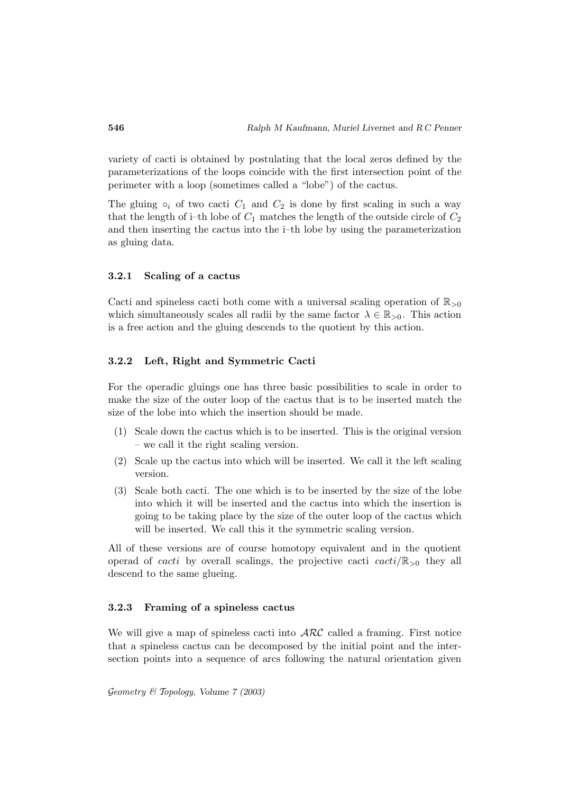variety of cacti is obtained by postulating that the local zeros defined by the parameterizations of the loops coincide with the first intersection point of the perimeter with a loop (sometimes called a "lobe") of the cactus.

The gluing  $\circ_i$  of two cacti  $C_1$  and  $C_2$  is done by first scaling in such a way that the length of i–th lobe of  $C_1$  matches the length of the outside circle of  $C_2$ and then inserting the cactus into the i–th lobe by using the parameterization as gluing data.

#### **3.2.1 Scaling of a cactus**

Cacti and spineless cacti both come with a universal scaling operation of  $\mathbb{R}_{>0}$ which simultaneously scales all radii by the same factor  $\lambda \in \mathbb{R}_{>0}$ . This action is a free action and the gluing descends to the quotient by this action.

#### **3.2.2 Left, Right and Symmetric Cacti**

For the operadic gluings one has three basic possibilities to scale in order to make the size of the outer loop of the cactus that is to be inserted match the size of the lobe into which the insertion should be made.

- (1) Scale down the cactus which is to be inserted. This is the original version – we call it the right scaling version.
- (2) Scale up the cactus into which will be inserted. We call it the left scaling version.
- (3) Scale both cacti. The one which is to be inserted by the size of the lobe into which it will be inserted and the cactus into which the insertion is going to be taking place by the size of the outer loop of the cactus which will be inserted. We call this it the symmetric scaling version.

All of these versions are of course homotopy equivalent and in the quotient operad of *cacti* by overall scalings, the projective cacti  $\text{cacti}/\mathbb{R}_{>0}$  they all descend to the same glueing.

#### **3.2.3 Framing of a spineless cactus**

We will give a map of spineless cacti into  $\mathcal{ARC}$  called a framing. First notice that a spineless cactus can be decomposed by the initial point and the intersection points into a sequence of arcs following the natural orientation given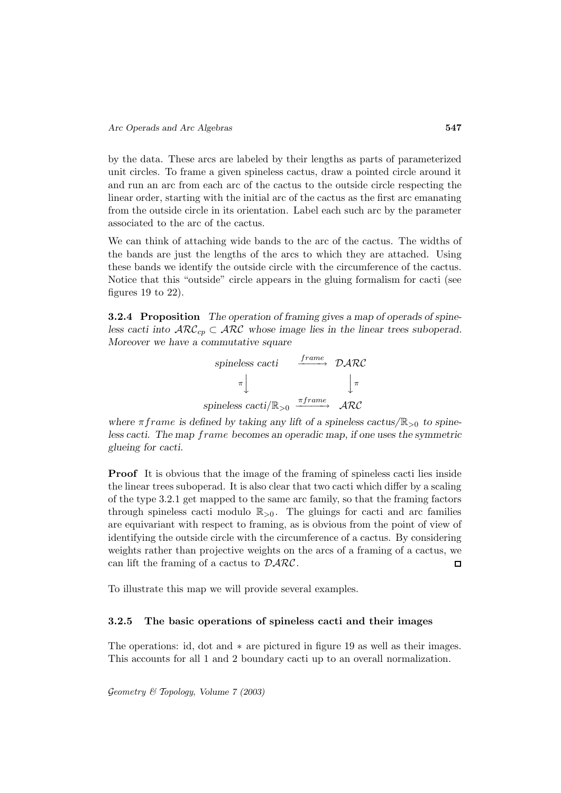by the data. These arcs are labeled by their lengths as parts of parameterized unit circles. To frame a given spineless cactus, draw a pointed circle around it and run an arc from each arc of the cactus to the outside circle respecting the linear order, starting with the initial arc of the cactus as the first arc emanating from the outside circle in its orientation. Label each such arc by the parameter associated to the arc of the cactus.

We can think of attaching wide bands to the arc of the cactus. The widths of the bands are just the lengths of the arcs to which they are attached. Using these bands we identify the outside circle with the circumference of the cactus. Notice that this "outside" circle appears in the gluing formalism for cacti (see figures 19 to  $22$ ).

**3.2.4 Proposition** *The operation of framing gives a map of operads of spineless cacti into*  $\mathcal{ARC}_{cp} \subset \mathcal{ARC}$  whose image lies in the linear trees suboperad. *Moreover we have a commutative square* 

| spineless cacti                    | frame       | DARC        |
|------------------------------------|-------------|-------------|
|                                    |             | $\pi$       |
| spineless cacti/ $\mathbb{R}_{>0}$ | $\pi frame$ | $\cal{ARC}$ |

where  $\pi$ *frame* is defined by taking any lift of a spineless cactus/ $\mathbb{R}_{>0}$  to spine*less cacti. The map frame becomes an operadic map, if one uses the symmetric glueing for cacti.*

**Proof** It is obvious that the image of the framing of spineless cacti lies inside the linear trees suboperad. It is also clear that two cacti which differ by a scaling of the type 3.2.1 get mapped to the same arc family, so that the framing factors through spineless cacti modulo  $\mathbb{R}_{>0}$ . The gluings for cacti and arc families are equivariant with respect to framing, as is obvious from the point of view of identifying the outside circle with the circumference of a cactus. By considering weights rather than projective weights on the arcs of a framing of a cactus, we can lift the framing of a cactus to  $\mathcal{D} \mathcal{A} \mathcal{R} \mathcal{C}$ .  $\Box$ 

To illustrate this map we will provide several examples.

#### **3.2.5 The basic operations of spineless cacti and their images**

The operations: id, dot and ∗ are pictured in figure 19 as well as their images. This accounts for all 1 and 2 boundary cacti up to an overall normalization.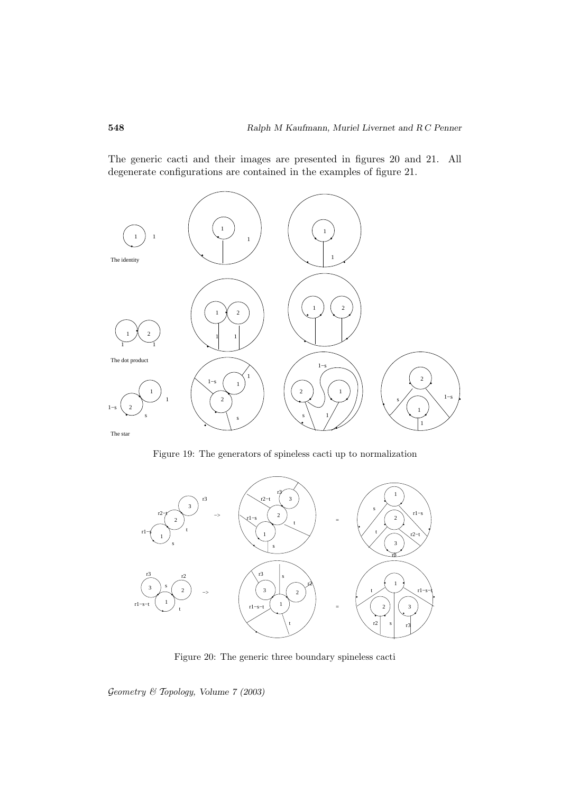The generic cacti and their images are presented in figures 20 and 21. All degenerate configurations are contained in the examples of figure 21.



Figure 19: The generators of spineless cacti up to normalization



Figure 20: The generic three boundary spineless cacti

Geometry & Topology*, Volume 7 (2003)*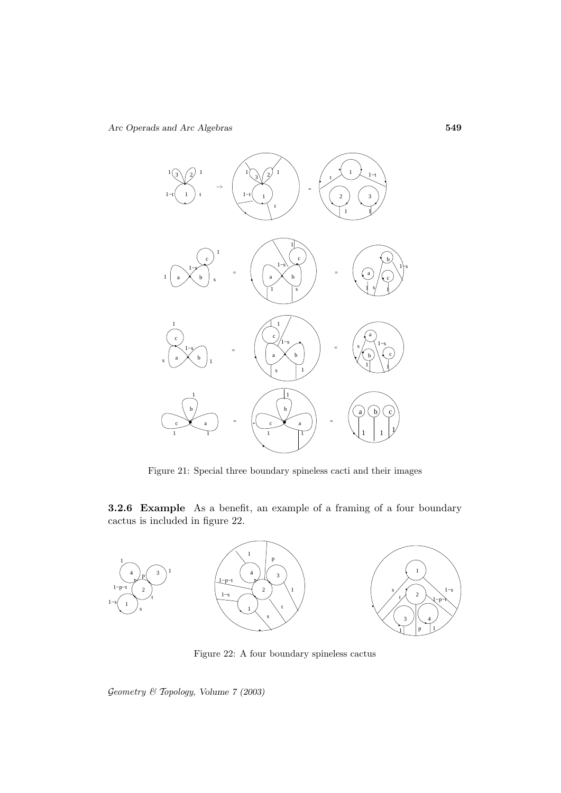

Figure 21: Special three boundary spineless cacti and their images

**3.2.6 Example** As a benefit, an example of a framing of a four boundary cactus is included in figure 22.



Figure 22: A four boundary spineless cactus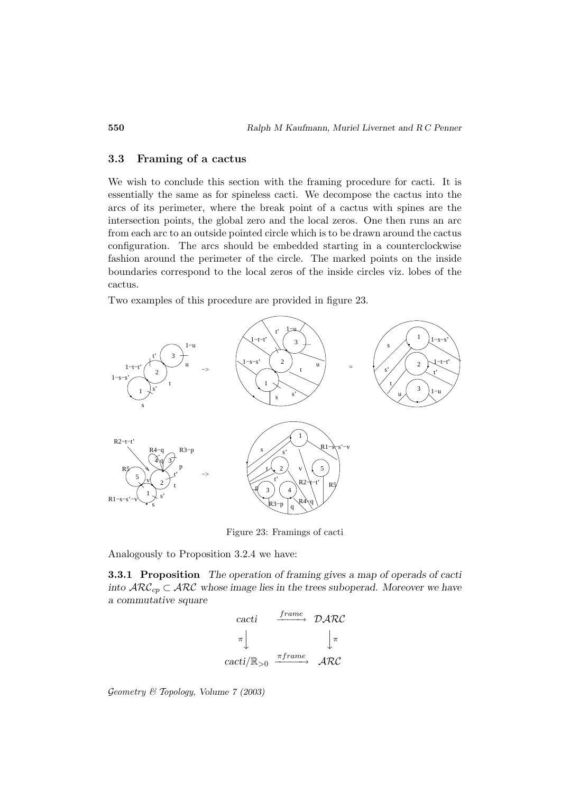### **3.3 Framing of a cactus**

We wish to conclude this section with the framing procedure for cacti. It is essentially the same as for spineless cacti. We decompose the cactus into the arcs of its perimeter, where the break point of a cactus with spines are the intersection points, the global zero and the local zeros. One then runs an arc from each arc to an outside pointed circle which is to be drawn around the cactus configuration. The arcs should be embedded starting in a counterclockwise fashion around the perimeter of the circle. The marked points on the inside boundaries correspond to the local zeros of the inside circles viz. lobes of the cactus.

Two examples of this procedure are provided in figure 23.



Figure 23: Framings of cacti

Analogously to Proposition 3.2.4 we have:

**3.3.1 Proposition** *The operation of framing gives a map of operads of cacti into*  $\mathcal{RRC}_{cp} \subset \mathcal{RRC}$  whose image lies in the trees suboperad. Moreover we have *a commutative square*  $\frac{S}{S}$ 

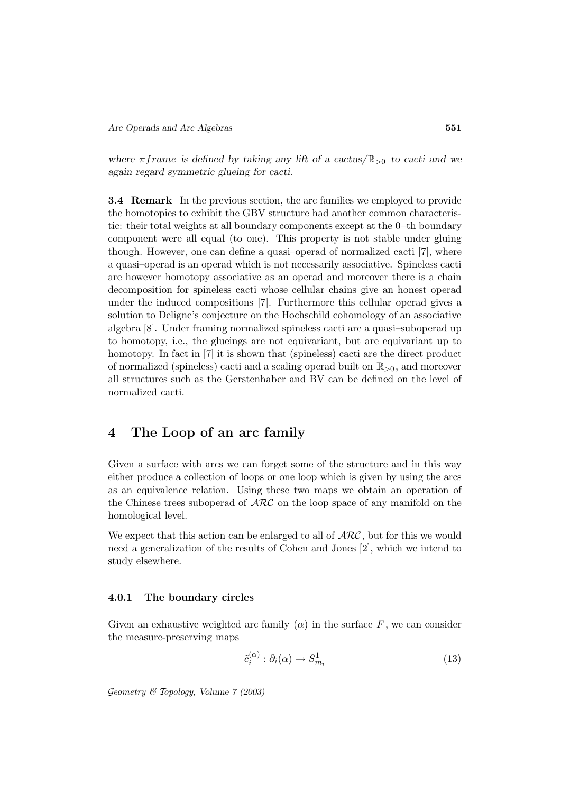where  $\pi$ *frame* is defined by taking any lift of a cactus/ $\mathbb{R}_{>0}$  to cacti and we *again regard symmetric glueing for cacti.*

**3.4 Remark** In the previous section, the arc families we employed to provide the homotopies to exhibit the GBV structure had another common characteristic: their total weights at all boundary components except at the 0–th boundary component were all equal (to one). This property is not stable under gluing though. However, one can define a quasi–operad of normalized cacti [7], where a quasi–operad is an operad which is not necessarily associative. Spineless cacti are however homotopy associative as an operad and moreover there is a chain decomposition for spineless cacti whose cellular chains give an honest operad under the induced compositions [7]. Furthermore this cellular operad gives a solution to Deligne's conjecture on the Hochschild cohomology of an associative algebra [8]. Under framing normalized spineless cacti are a quasi–suboperad up to homotopy, i.e., the glueings are not equivariant, but are equivariant up to homotopy. In fact in [7] it is shown that (spineless) cacti are the direct product of normalized (spineless) cacti and a scaling operad built on  $\mathbb{R}_{>0}$ , and moreover all structures such as the Gerstenhaber and BV can be defined on the level of normalized cacti.

# **4 The Loop of an arc family**

Given a surface with arcs we can forget some of the structure and in this way either produce a collection of loops or one loop which is given by using the arcs as an equivalence relation. Using these two maps we obtain an operation of the Chinese trees suboperad of  $\mathcal{ARC}$  on the loop space of any manifold on the homological level.

We expect that this action can be enlarged to all of  $\mathcal{ARC}$ , but for this we would need a generalization of the results of Cohen and Jones [2], which we intend to study elsewhere.

#### **4.0.1 The boundary circles**

Given an exhaustive weighted arc family  $(\alpha)$  in the surface F, we can consider the measure-preserving maps

$$
\tilde{c}_i^{(\alpha)} : \partial_i(\alpha) \to S^1_{m_i} \tag{13}
$$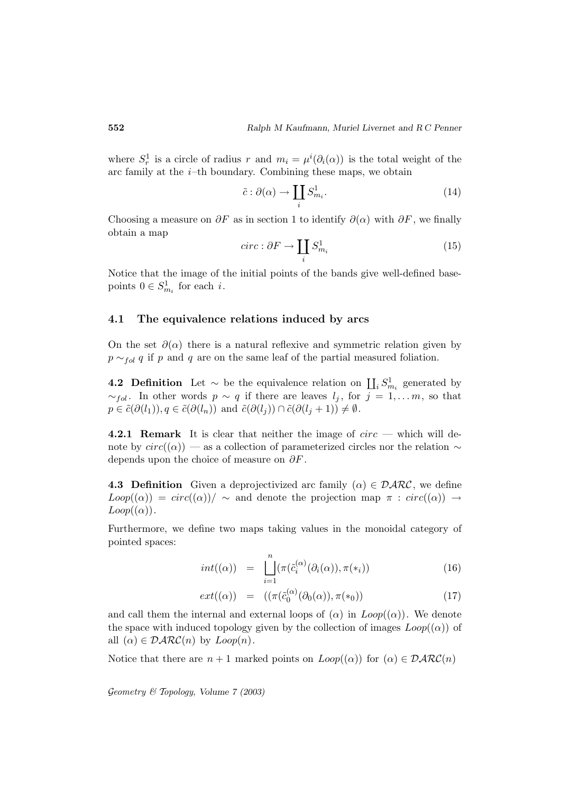where  $S_r^1$  is a circle of radius r and  $m_i = \mu^i(\partial_i(\alpha))$  is the total weight of the arc family at the  $i$ -th boundary. Combining these maps, we obtain r and  $m_i = \mu$ <br>
cy. Combining<br>  $\tilde{c} : \partial(\alpha) \to \prod$ 

$$
\tilde{c}: \partial(\alpha) \to \coprod_{i} S^{1}_{m_{i}}.
$$
\n(14)

Choosing a measure on  $\partial F$  as in section 1 to identify  $\partial(\alpha)$  with  $\partial F$ , we finally obtain a map  $\tilde{c} : \partial(\alpha) \to \prod_i \beta$ <br>s in section 1 to<br>circ :  $\partial F \to \coprod$ 

$$
circ: \partial F \to \coprod_{i} S^{1}_{m_{i}} \tag{15}
$$

Notice that the image of the initial points of the bands give well-defined basepoints  $0 \in S^1_{m_i}$  for each *i*.

### **4.1 The equivalence relations induced by arcs**

On the set  $\partial(\alpha)$  there is a natural reflexive and symmetric relation given by  $p \sim_{fol} q$  if p and q are on the same leaf of the partial measured foliation. On the set  $\partial(\alpha)$  there is a natural reflexive and symmetric relation given by  $p \sim_{fol} q$  if  $p$  and  $q$  are on the same leaf of the partial measured foliation.<br>**4.2 Definition** Let ∼ be the equivalence relation on  $\prod_i$ 

 $\sim_{fol}$ . In other words  $p \sim q$  if there are leaves  $l_j$ , for  $j = 1, \ldots m$ , so that  $p \in \tilde{c}(\partial(l_1)), q \in \tilde{c}(\partial(l_n))$  and  $\tilde{c}(\partial(l_j)) \cap \tilde{c}(\partial(l_j+1)) \neq \emptyset$ .

**4.2.1 Remark** It is clear that neither the image of circ — which will denote by  $circ((\alpha))$  — as a collection of parameterized circles nor the relation  $\sim$ depends upon the choice of measure on  $\partial F$ .

**4.3 Definition** Given a deprojectivized arc family  $(\alpha) \in \mathcal{D} \mathcal{R} \mathcal{R} \mathcal{C}$ , we define  $Loop((\alpha)) = circ((\alpha)) / \sim$  and denote the projection map  $\pi : circ((\alpha)) \rightarrow$  $Loop((\alpha))$ .

Furthermore, we define two maps taking values in the monoidal category of pointed spaces: ine two maps ta<br>  $int((\alpha)) = \begin{bmatrix} n \\ n \end{bmatrix}$ 

$$
int((\alpha)) = \prod_{i=1}^{n} (\pi(\tilde{c}_i^{(\alpha)}(\partial_i(\alpha)), \pi(*_i)) \tag{16}
$$

$$
ext((\alpha)) = ((\pi(\tilde{c}_0^{(\alpha)}(\partial_0(\alpha)), \pi(*_0)) \tag{17})
$$

and call them the internal and external loops of  $(\alpha)$  in  $Loop((\alpha))$ . We denote the space with induced topology given by the collection of images  $Loop((\alpha))$  of all  $(\alpha) \in \mathcal{D} \mathcal{ARC}(n)$  by  $Loop(n)$ .

Notice that there are  $n + 1$  marked points on  $Loop((\alpha))$  for  $(\alpha) \in \mathcal{D}ARC(n)$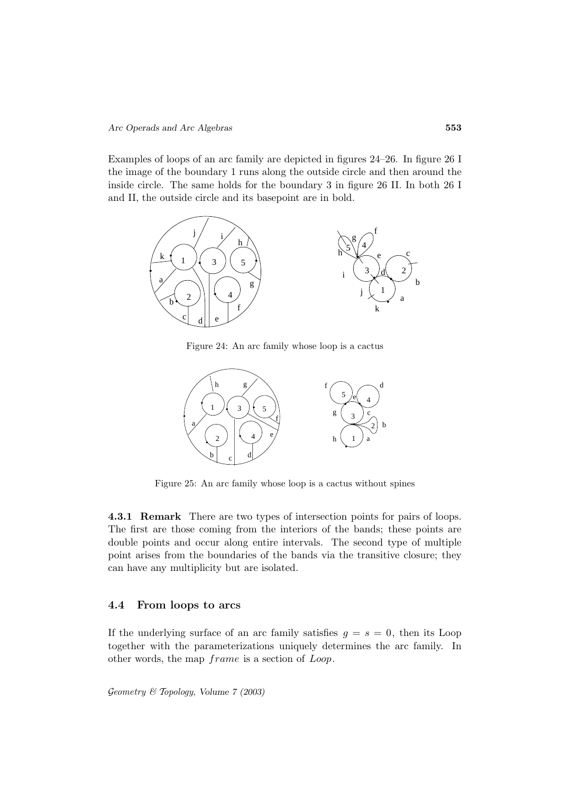Examples of loops of an arc family are depicted in figures 24–26. In figure 26 I the image of the boundary 1 runs along the outside circle and then around the inside circle. The same holds for the boundary 3 in figure 26 II. In both 26 I and II, the outside circle and its basepoint are in bold.



Figure 24: An arc family whose loop is a cactus



Figure 25: An arc family whose loop is a cactus without spines

**4.3.1 Remark** There are two types of intersection points for pairs of loops. The first are those coming from the interiors of the bands; these points are double points and occur along entire intervals. The second type of multiple point arises from the boundaries of the bands via the transitive closure; they can have any multiplicity but are isolated.

#### **4.4 From loops to arcs**

If the underlying surface of an arc family satisfies  $g = s = 0$ , then its Loop together with the parameterizations uniquely determines the arc family. In other words, the map  $frame$  is a section of  $Loop$ .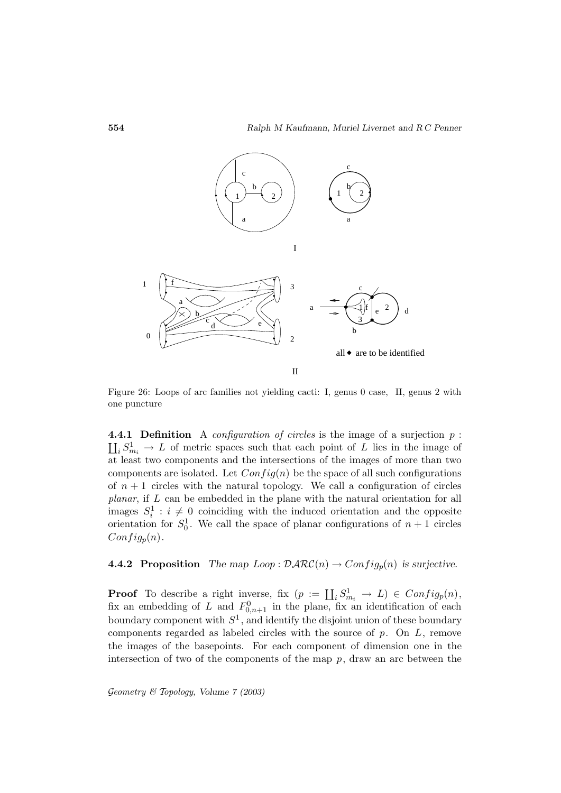

Figure 26: Loops of arc families not yielding cacti: I, genus 0 case, II, genus 2 with one puncture

**4.4.1 Definition** A *configuration of circles* is the image of a surjection  $p$ :  $\coprod_i S^1_{m_i} \to L$  of metric spaces such that each point of L lies in the image of at least two components and the intersections of the images of more than two components are isolated. Let  $Config(n)$  be the space of all such configurations of  $n + 1$  circles with the natural topology. We call a configuration of circles planar, if L can be embedded in the plane with the natural orientation for all images  $S_i^1 : i \neq 0$  coinciding with the induced orientation and the opposite orientation for  $S_0^1$ . We call the space of planar configurations of  $n + 1$  circles  $Config_p(n)$ .

**4.4.2 Proposition** *The map*  $Loop : \mathcal{D} \mathcal{A} \mathcal{R} \mathcal{C}(n) \rightarrow Config_p(n)$  *is surjective.* 

**Proof** To describe a right inverse, fix  $(p := \coprod_i S^1_{m_i} \to L) \in Config_p(n)$ ,<br> **Proof** To describe a right inverse, fix  $(p := \coprod_i S^1_{m_i} \to L) \in Config_p(n)$ , fix an embedding of L and  $F_{0,n+1}^0$  in the plane, fix an identification of each boundary component with  $S^1$ , and identify the disjoint union of these boundary components regarded as labeled circles with the source of  $p$ . On  $L$ , remove the images of the basepoints. For each component of dimension one in the intersection of two of the components of the map  $p$ , draw an arc between the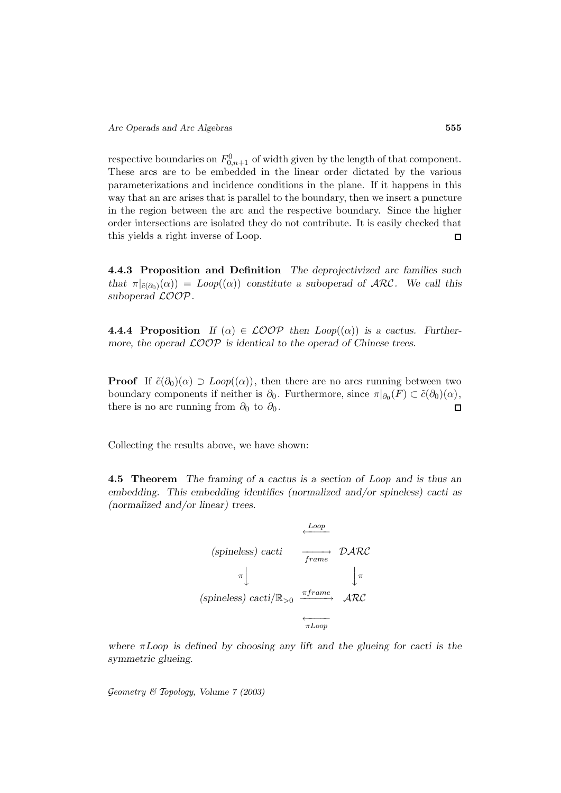respective boundaries on  $F_{0,n+1}^0$  of width given by the length of that component. These arcs are to be embedded in the linear order dictated by the various parameterizations and incidence conditions in the plane. If it happens in this way that an arc arises that is parallel to the boundary, then we insert a puncture in the region between the arc and the respective boundary. Since the higher order intersections are isolated they do not contribute. It is easily checked that this yields a right inverse of Loop.  $\Box$ 

**4.4.3 Proposition and Definition** *The deprojectivized arc families such that*  $\pi|_{\tilde{c}(\partial_0)}(\alpha) = Loop((\alpha))$  *constitute a suboperad of ARC*. We call this *suboperad* LOOP*.*

**4.4.4 Proposition** If  $(\alpha) \in \mathcal{LOOP}$  then  $Loop((\alpha))$  is a cactus. Further*more, the operad* LOOP *is identical to the operad of Chinese trees.*

**Proof** If  $\tilde{c}(\partial_0)(\alpha) \supset \text{Loop}((\alpha))$ , then there are no arcs running between two boundary components if neither is  $\partial_0$ . Furthermore, since  $\pi|_{\partial_0}(F) \subset \tilde{c}(\partial_0)(\alpha)$ , there is no arc running from  $\partial_0$  to  $\partial_0$ .  $\Box$ 

Collecting the results above, we have shown:

**4.5 Theorem** *The framing of a cactus is a section of* Loop *and is thus an embedding. This embedding identifies (normalized and/or spineless) cacti as (normalized and/or linear) trees.*

(spineless) cacti  
\n
$$
\begin{array}{ccc}\n & \xrightarrow{Loop} & \mathcal{D} \mathcal{ARC} \\
\pi & & \downarrow \pi \\
(spineless) cacti/\mathbb{R}_{>0} & \xrightarrow{\pi frame} & \mathcal{ARC} \\
\hline\n\pi\n\end{array}
$$

*where* πLoop *is defined by choosing any lift and the glueing for cacti is the symmetric glueing.*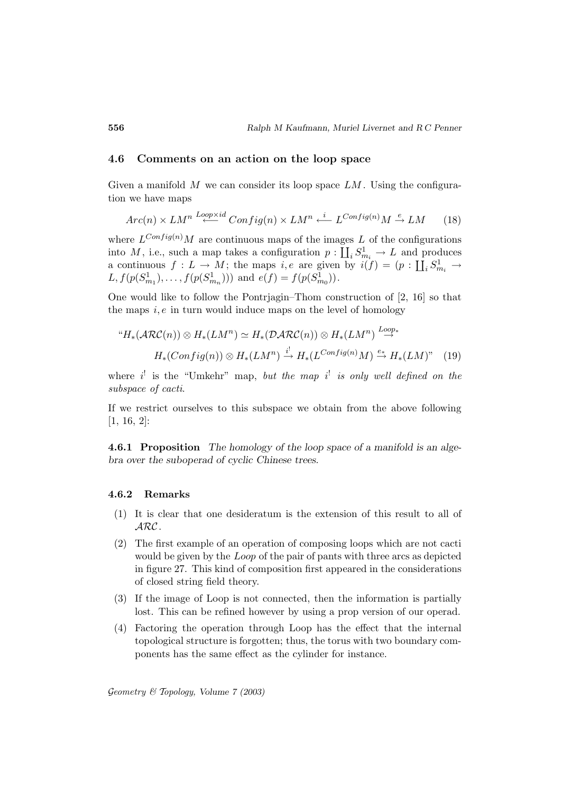#### **4.6 Comments on an action on the loop space**

Given a manifold M we can consider its loop space  $LM$ . Using the configuration we have maps

$$
Arc(n) \times LM^n \stackrel{Loop \times id}{\longleftarrow} Config(n) \times LM^n \stackrel{i}{\longleftarrow} L^{Config(n)}M \stackrel{e}{\rightarrow} LM \qquad (18)
$$

where  $L^{Config(n)}M$  are continuous maps of the images L of the configurations into M, i.e., such a map takes a configuration  $p: \coprod_i S^1_{m_i} \to L$  and produces a continuous  $f: L \to M$ ; the maps  $i, e$  are given by  $i(f) = (p: \coprod_i S^1_{m_i} \to$  $L, f(p(S_{m_1}^1), \ldots, f(p(S_{m_n}^1)))$  and  $e(f) = f(p(S_{m_0}^1))$ .

One would like to follow the Pontrjagin–Thom construction of [2, 16] so that the maps  $i, e$  in turn would induce maps on the level of homology

$$
{}^{\omega}H_*(\mathcal{ARC}(n)) \otimes H_*(LM^n) \simeq H_*(\mathcal{D}ARC(n)) \otimes H_*(LM^n) \stackrel{Loop*}{\to} H_*(Comfig(n)) \otimes H_*(LM^n) \stackrel{i!}{\to} H_*(L^{\text{Config}(n)}M) \stackrel{e*}{\to} H_*(LM)^n \tag{19}
$$

where  $i^!$  is the "Umkehr" map, but the map  $i^!$  is only well defined on the subspace of cacti.

If we restrict ourselves to this subspace we obtain from the above following [1, 16, 2]:

**4.6.1 Proposition** *The homology of the loop space of a manifold is an algebra over the suboperad of cyclic Chinese trees.*

#### **4.6.2 Remarks**

- (1) It is clear that one desideratum is the extension of this result to all of ARC.
- (2) The first example of an operation of composing loops which are not cacti would be given by the *Loop* of the pair of pants with three arcs as depicted in figure 27. This kind of composition first appeared in the considerations of closed string field theory.
- (3) If the image of Loop is not connected, then the information is partially lost. This can be refined however by using a prop version of our operad.
- (4) Factoring the operation through Loop has the effect that the internal topological structure is forgotten; thus, the torus with two boundary components has the same effect as the cylinder for instance.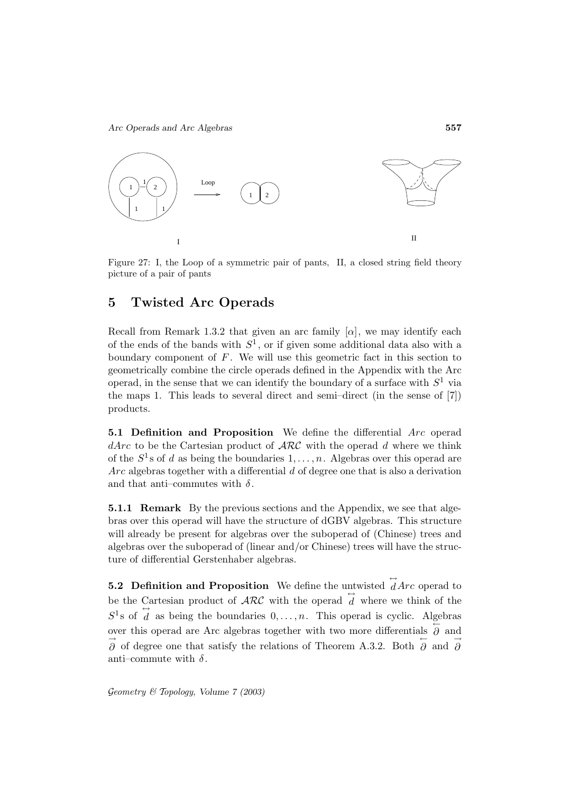

Figure 27: I, the Loop of a symmetric pair of pants, II, a closed string field theory picture of a pair of pants

# **5 Twisted Arc Operads**

Recall from Remark 1.3.2 that given an arc family  $[\alpha]$ , we may identify each of the ends of the bands with  $S^1$ , or if given some additional data also with a boundary component of  $F$ . We will use this geometric fact in this section to geometrically combine the circle operads defined in the Appendix with the Arc operad, in the sense that we can identify the boundary of a surface with  $S^1$  via the maps 1. This leads to several direct and semi–direct (in the sense of [7]) products.

**5.1 Definition and Proposition** We define the differential Arc operad  $dArc$  to be the Cartesian product of  $\mathcal{ARC}$  with the operad d where we think of the  $S^1$ s of d as being the boundaries  $1,\ldots,n$ . Algebras over this operad are  $Arc$  algebras together with a differential  $d$  of degree one that is also a derivation and that anti-commutes with  $\delta$ .

**5.1.1 Remark** By the previous sections and the Appendix, we see that algebras over this operad will have the structure of dGBV algebras. This structure will already be present for algebras over the suboperad of (Chinese) trees and algebras over the suboperad of (linear and/or Chinese) trees will have the structure of differential Gerstenhaber algebras.

**5.2 Definition and Proposition** We define the untwisted  $\vec{d}$  *Arc* operad to be the Cartesian product of  $\mathcal{ARC}$  with the operad  $\overleftrightarrow{d}$  where we think of the  $S^1$ s of  $\overrightarrow{d}$  as being the boundaries  $0,\ldots,n$ . This operad is cyclic. Algebras over this operad are Arc algebras together with two more differentials  $\overleftrightarrow{\partial}$  and  $\overrightarrow{\partial}$  of degree one that satisfy the relations of Theorem A.3.2. Both  $\overleftarrow{\partial}$  and  $\overrightarrow{\partial}$ anti-commute with  $\delta$ .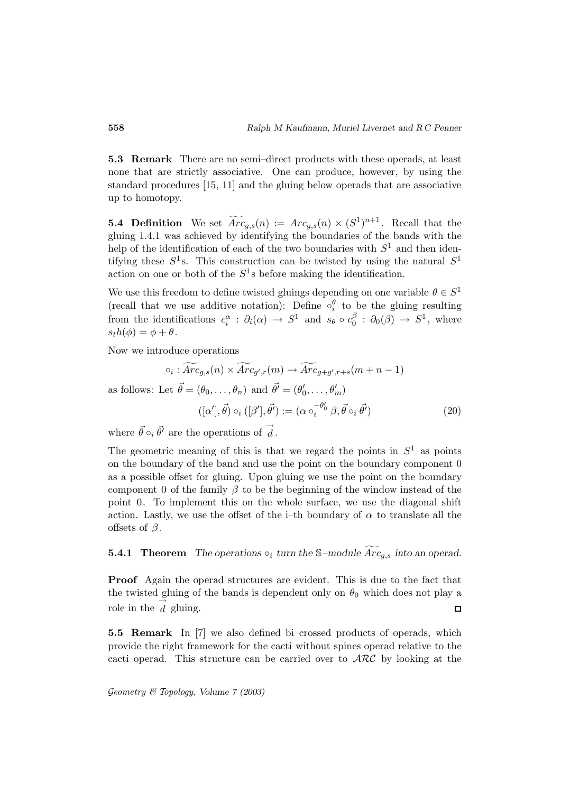**5.3 Remark** There are no semi–direct products with these operads, at least none that are strictly associative. One can produce, however, by using the standard procedures [15, 11] and the gluing below operads that are associative up to homotopy.

**5.4 Definition** We set  $\widetilde{Arc}_{g,s}(n) := Arc_{g,s}(n) \times (S^1)^{n+1}$ . Recall that the gluing 1.4.1 was achieved by identifying the boundaries of the bands with the help of the identification of each of the two boundaries with  $S^1$  and then identifying these  $S^1$ s. This construction can be twisted by using the natural  $S^1$ action on one or both of the  $S^1$ s before making the identification.

We use this freedom to define twisted gluings depending on one variable  $\theta \in S^1$ (recall that we use additive notation): Define  $\circ_i^{\theta}$  to be the gluing resulting from the identifications  $c_i^{\alpha} : \partial_i(\alpha) \to S^1$  and  $s_{\theta} \circ c_0^{\beta} : \partial_0(\beta) \to S^1$ , where<br>  $s_t h(\phi) = \phi + \theta$ .<br>
Now we introduce operations<br>  $\circ_i : \widetilde{Arc}_{g,s}(n) \times \widetilde{Arc}_{g',r}(m) \to \widetilde{Arc}_{g+g',r+s}(m+n-1)$  $s_th(\phi) = \phi + \theta.$ 

Now we introduce operations

$$
\circ_i : \widetilde{Arc}_{g,s}(n) \times \widetilde{Arc}_{g',r}(m) \to \widetilde{Arc}_{g+g',r+s}(m+n-1)
$$

as follows: Let  $\vec{\theta} = (\theta_0, \dots, \theta_n)$  and  $\vec{\theta'} = (\theta'_0, \dots, \theta'_m)$ 

$$
([\alpha'], \vec{\theta}) \circ_i ([\beta'], \vec{\theta'}) := (\alpha \circ_i^{-\theta'_0} \beta, \vec{\theta} \circ_i \vec{\theta'}) \tag{20}
$$

where  $\vec{\theta} \circ_i \vec{\theta'}$  are the operations of  $\overrightarrow{d}$ .

The geometric meaning of this is that we regard the points in  $S^1$  as points on the boundary of the band and use the point on the boundary component 0 as a possible offset for gluing. Upon gluing we use the point on the boundary component 0 of the family  $\beta$  to be the beginning of the window instead of the point 0. To implement this on the whole surface, we use the diagonal shift action. Lastly, we use the offset of the i–th boundary of  $\alpha$  to translate all the offsets of  $\beta$ .

### **5.4.1 Theorem** *The operations*  $\circ_i$  *turn the* S-module  $Arc_{q,s}$  *into an operad.*

**Proof** Again the operad structures are evident. This is due to the fact that the twisted gluing of the bands is dependent only on  $\theta_0$  which does not play a role in the  $\overrightarrow{d}$  gluing.  $\Box$ 

**5.5 Remark** In [7] we also defined bi–crossed products of operads, which provide the right framework for the cacti without spines operad relative to the cacti operad. This structure can be carried over to  $\mathcal{ARC}$  by looking at the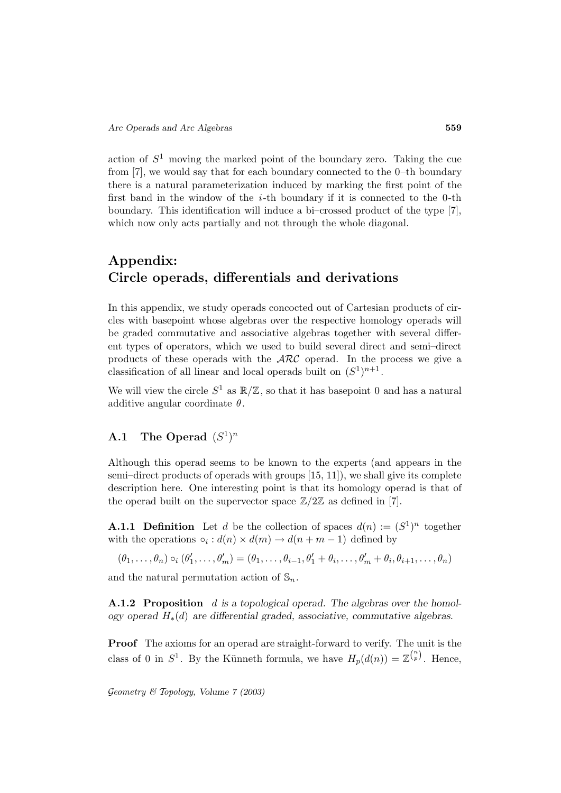action of  $S<sup>1</sup>$  moving the marked point of the boundary zero. Taking the cue from [7], we would say that for each boundary connected to the 0–th boundary there is a natural parameterization induced by marking the first point of the first band in the window of the  $i$ -th boundary if it is connected to the 0-th boundary. This identification will induce a bi–crossed product of the type [7], which now only acts partially and not through the whole diagonal.

# **Appendix: Circle operads, differentials and derivations**

In this appendix, we study operads concocted out of Cartesian products of circles with basepoint whose algebras over the respective homology operads will be graded commutative and associative algebras together with several different types of operators, which we used to build several direct and semi–direct products of these operads with the ARC operad. In the process we give a classification of all linear and local operads built on  $(S^1)^{n+1}$ .

We will view the circle  $S^1$  as  $\mathbb{R}/\mathbb{Z}$ , so that it has basepoint 0 and has a natural additive angular coordinate  $\theta$ .

### **A.1** The Operad  $(S^1)^n$

Although this operad seems to be known to the experts (and appears in the semi–direct products of operads with groups [15, 11]), we shall give its complete description here. One interesting point is that its homology operad is that of the operad built on the supervector space  $\mathbb{Z}/2\mathbb{Z}$  as defined in [7].

**A.1.1 Definition** Let d be the collection of spaces  $d(n) := (S^1)^n$  together with the operations  $\circ_i : d(n) \times d(m) \to d(n+m-1)$  defined by

 $(\theta_1,\ldots,\theta_n) \circ_i (\theta'_1,\ldots,\theta'_m) = (\theta_1,\ldots,\theta_{i-1},\theta'_1 + \theta_i,\ldots,\theta'_m + \theta_i,\theta_{i+1},\ldots,\theta_n)$ 

and the natural permutation action of  $\mathbb{S}_n$ .

**A.1.2 Proposition** d is a topological operad. The algebras over the homol*ogy operad* H∗(d) *are differential graded, associative, commutative algebras.*

**Proof** The axioms for an operad are straight-forward to verify. The unit is the class of 0 in  $S^1$ . By the Künneth formula, we have  $H_p(d(n)) = \mathbb{Z}^{\binom{n}{p}}$ . Hence,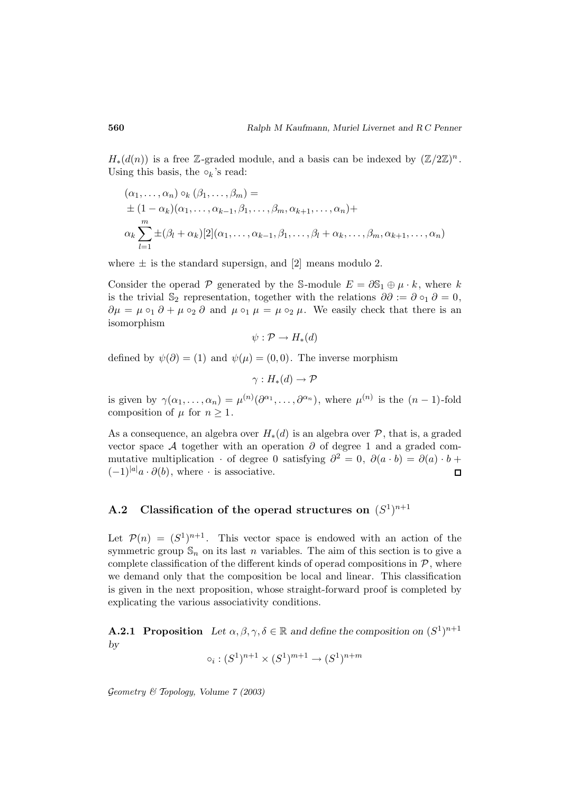$H_*(d(n))$  is a free Z-graded module, and a basis can be indexed by  $(\mathbb{Z}/2\mathbb{Z})^n$ . Using this basis, the  $\circ_k$ 's read:

$$
(\alpha_1, \ldots, \alpha_n) \circ_k (\beta_1, \ldots, \beta_m) =
$$
  
\n
$$
\pm (1 - \alpha_k)(\alpha_1, \ldots, \alpha_{k-1}, \beta_1, \ldots, \beta_m, \alpha_{k+1}, \ldots, \alpha_n) +
$$
  
\n
$$
\alpha_k \sum_{l=1}^m \pm (\beta_l + \alpha_k)[2](\alpha_1, \ldots, \alpha_{k-1}, \beta_1, \ldots, \beta_l + \alpha_k, \ldots, \beta_m, \alpha_{k+1}, \ldots, \alpha_n)
$$

where  $\pm$  is the standard supersign, and [2] means modulo 2.

Consider the operad P generated by the S-module  $E = \partial S_1 \oplus \mu \cdot k$ , where k is the trivial S<sub>2</sub> representation, together with the relations  $\partial \partial := \partial \circ_1 \partial = 0$ ,  $\partial \mu = \mu \circ_1 \partial + \mu \circ_2 \partial$  and  $\mu \circ_1 \mu = \mu \circ_2 \mu$ . We easily check that there is an isomorphism

 $\psi : \mathcal{P} \to H_*(d)$ 

defined by  $\psi(\partial) = (1)$  and  $\psi(\mu) = (0, 0)$ . The inverse morphism

 $\gamma: H_*(d) \to \mathcal{P}$ 

is given by  $\gamma(\alpha_1,\ldots,\alpha_n) = \mu^{(n)}(\partial^{\alpha_1},\ldots,\partial^{\alpha_n}),$  where  $\mu^{(n)}$  is the  $(n-1)$ -fold composition of  $\mu$  for  $n \geq 1$ .

As a consequence, an algebra over  $H_*(d)$  is an algebra over  $\mathcal P$ , that is, a graded vector space A together with an operation  $\partial$  of degree 1 and a graded commutative multiplication · of degree 0 satisfying  $\partial^2 = 0$ ,  $\partial(a \cdot b) = \partial(a) \cdot b +$  $(-1)^{|a|}a \cdot \partial(b)$ , where  $\cdot$  is associative.  $\Box$ 

# **A.2** Classification of the operad structures on  $(S^1)^{n+1}$

Let  $\mathcal{P}(n)=(S^1)^{n+1}$ . This vector space is endowed with an action of the symmetric group  $\mathbb{S}_n$  on its last n variables. The aim of this section is to give a complete classification of the different kinds of operad compositions in  $P$ , where we demand only that the composition be local and linear. This classification is given in the next proposition, whose straight-forward proof is completed by explicating the various associativity conditions.

**A.2.1 Proposition** *Let*  $\alpha, \beta, \gamma, \delta \in \mathbb{R}$  *and define the composition on*  $(S^1)^{n+1}$ *by*

$$
\circ_i : (S^1)^{n+1} \times (S^1)^{m+1} \to (S^1)^{n+m}
$$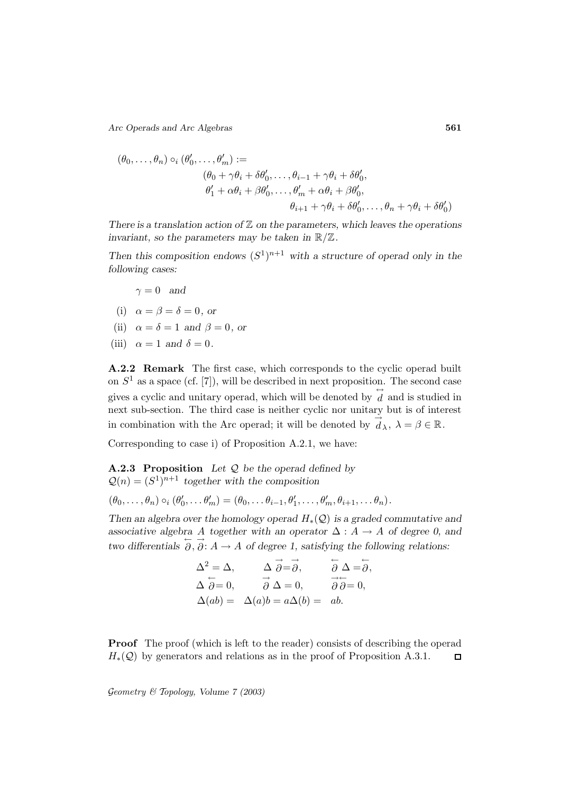*Arc Operads and Arc Algebras* **561**

$$
(\theta_0, \ldots, \theta_n) \circ_i (\theta'_0, \ldots, \theta'_m) :=
$$
  
\n
$$
(\theta_0 + \gamma \theta_i + \delta \theta'_0, \ldots, \theta_{i-1} + \gamma \theta_i + \delta \theta'_0,
$$
  
\n
$$
\theta'_1 + \alpha \theta_i + \beta \theta'_0, \ldots, \theta'_m + \alpha \theta_i + \beta \theta'_0,
$$
  
\n
$$
\theta_{i+1} + \gamma \theta_i + \delta \theta'_0, \ldots, \theta_n + \gamma \theta_i + \delta \theta'_0)
$$

*There is a translation action of* Z *on the parameters, which leaves the operations invariant, so the parameters may be taken in* R/Z*.*

*Then this composition endows*  $(S^1)^{n+1}$  *with a structure of operad only in the following cases:*

 $\gamma = 0$  *and* 

(i) 
$$
\alpha = \beta = \delta = 0
$$
, or

- (ii)  $\alpha = \delta = 1$  *and*  $\beta = 0$ *, or*
- (iii)  $\alpha = 1$  *and*  $\delta = 0$ .

**A.2.2 Remark** The first case, which corresponds to the cyclic operad built on  $S<sup>1</sup>$  as a space (cf. [7]), will be described in next proposition. The second case gives a cyclic and unitary operad, which will be denoted by  $\overleftrightarrow{d}$  and is studied in next sub-section. The third case is neither cyclic nor unitary but is of interest in combination with the Arc operad; it will be denoted by  $\overrightarrow{d}_{\lambda}$ ,  $\lambda = \beta \in \mathbb{R}$ .

Corresponding to case i) of Proposition A.2.1, we have:

**A.2.3 Proposition** *Let* Q *be the operad defined by*  $Q(n)=(S^1)^{n+1}$  together with the composition

$$
(\theta_0,\ldots,\theta_n)\circ_i(\theta'_0,\ldots\theta'_m)=(\theta_0,\ldots\theta_{i-1},\theta'_1,\ldots,\theta'_m,\theta_{i+1},\ldots\theta_n).
$$

*Then an algebra over the homology operad* H∗(Q) *is a graded commutative and* associative algebra A *together with an operator*  $\Delta : A \rightarrow A$  *of degree 0, and*  $\overline{X}$  *two differentials*  $\overline{\partial}$ ,  $\overline{\partial}$ :  $\overline{A} \rightarrow A$  *of degree 1, satisfying the following relations:* 

$$
\Delta^2 = \Delta, \qquad \Delta \overrightarrow{\partial} = \overrightarrow{\partial}, \qquad \overleftarrow{\partial} \Delta = \overleftarrow{\partial},
$$
  

$$
\Delta \overleftarrow{\partial} = 0, \qquad \overrightarrow{\partial} \Delta = 0, \qquad \overrightarrow{\partial} \overleftarrow{\partial} = 0,
$$
  

$$
\Delta(ab) = \Delta(a)b = a\Delta(b) = ab.
$$

**Proof** The proof (which is left to the reader) consists of describing the operad  $H_*(\mathcal{Q})$  by generators and relations as in the proof of Proposition A.3.1.  $\Box$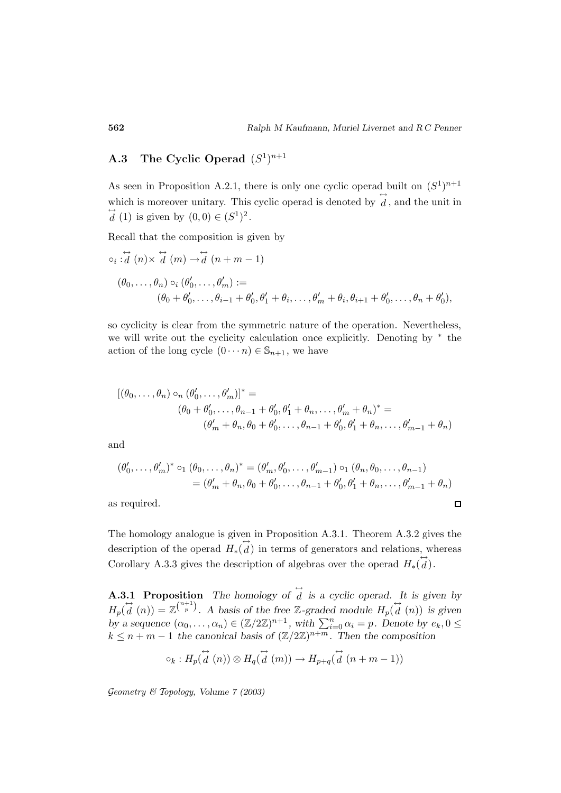# **A.3** The Cyclic Operad  $(S^1)^{n+1}$

As seen in Proposition A.2.1, there is only one cyclic operad built on  $(S^1)^{n+1}$ which is moreover unitary. This cyclic operad is denoted by  $\overleftrightarrow{d}$ , and the unit in  $\overrightarrow{d}$  (1) is given by  $(0,0) \in (S^1)^2$ .

Recall that the composition is given by

$$
\begin{aligned}\n\phi_i &\stackrel{\leftrightarrow}{d}(n) \times \stackrel{\leftrightarrow}{d}(m) \to \stackrel{\leftrightarrow}{d}(n+m-1) \\
(\theta_0, \ldots, \theta_n) &\circ_i (\theta'_0, \ldots, \theta'_m) := \\
(\theta_0 + \theta'_0, \ldots, \theta_{i-1} + \theta'_0, \theta'_1 + \theta_i, \ldots, \theta'_m + \theta_i, \theta_{i+1} + \theta'_0, \ldots, \theta_n + \theta'_0),\n\end{aligned}
$$

so cyclicity is clear from the symmetric nature of the operation. Nevertheless, we will write out the cyclicity calculation once explicitly. Denoting by <sup>∗</sup> the action of the long cycle  $(0 \cdots n) \in \mathbb{S}_{n+1}$ , we have

$$
[(\theta_0, ..., \theta_n) \circ_n (\theta'_0, ..., \theta'_m)]^* =
$$
  

$$
(\theta_0 + \theta'_0, ..., \theta_{n-1} + \theta'_0, \theta'_1 + \theta_n, ..., \theta'_m + \theta_n)^* =
$$
  

$$
(\theta'_m + \theta_n, \theta_0 + \theta'_0, ..., \theta_{n-1} + \theta'_0, \theta'_1 + \theta_n, ..., \theta'_{m-1} + \theta_n)
$$

and

$$
(\theta'_0, \dots, \theta'_m)^* \circ_1 (\theta_0, \dots, \theta_n)^* = (\theta'_m, \theta'_0, \dots, \theta'_{m-1}) \circ_1 (\theta_n, \theta_0, \dots, \theta_{n-1})
$$
  
=  $(\theta'_m + \theta_n, \theta_0 + \theta'_0, \dots, \theta_{n-1} + \theta'_0, \theta'_1 + \theta_n, \dots, \theta'_{m-1} + \theta_n)$ 

as required.

The homology analogue is given in Proposition A.3.1. Theorem A.3.2 gives the description of the operad  $H_*(\vec{d})$  in terms of generators and relations, whereas Corollary A.3.3 gives the description of algebras over the operad  $H_*(\overleftrightarrow{d})$ .

**A.3.1 Proposition** The homology of  $\overleftrightarrow{d}$  is a cyclic operad. It is given by  $H_p(\vec{d}(n)) = \mathbb{Z}^{\binom{n+1}{p}}$ . A basis of the free Z-graded module  $H_p(\vec{d}(n))$  is given **but a** sequence  $\overrightarrow{a}$ .....  $\overrightarrow{b}$  and  $\overrightarrow{b}$  are description of algebras over the operad  $H_*(a)$ .<br> **b**  $H_p(\overrightarrow{d}(n)) = \mathbb{Z}^{\binom{n+1}{p}}$ . A basis of the free Z-graded module  $H_p(\overrightarrow{d}(n))$  is given by a sequence  $(\alpha_0, \$  $k \leq n+m-1$  the canonical basis of  $(\mathbb{Z}/2\mathbb{Z})^{n+m}$ . Then the composition

$$
\circ_k: H_p(\stackrel{\leftrightarrow}{d}(n)) \otimes H_q(\stackrel{\leftrightarrow}{d}(m)) \to H_{p+q}(\stackrel{\leftrightarrow}{d}(n+m-1))
$$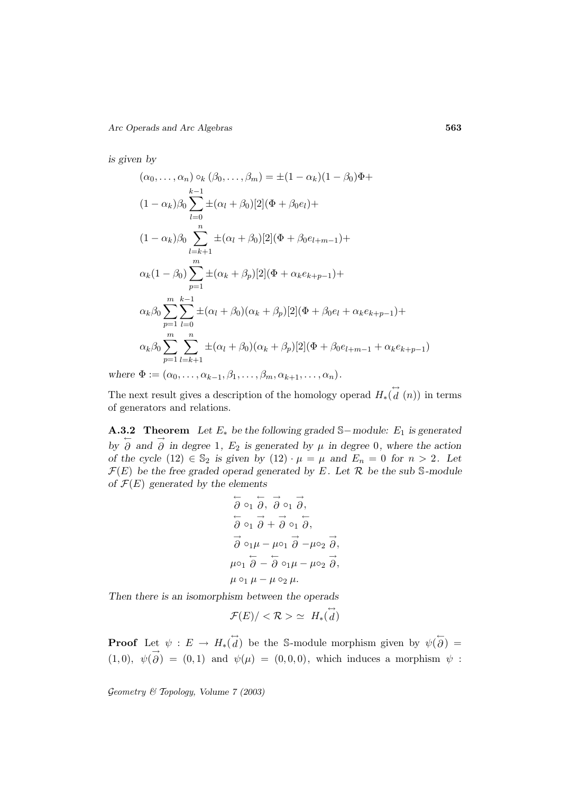*is given by*

$$
(\alpha_0, ..., \alpha_n) \circ_k (\beta_0, ..., \beta_m) = \pm (1 - \alpha_k)(1 - \beta_0)\Phi +
$$
  
\n
$$
(1 - \alpha_k)\beta_0 \sum_{l=0}^{k-1} \pm (\alpha_l + \beta_0)[2](\Phi + \beta_0 e_l) +
$$
  
\n
$$
(1 - \alpha_k)\beta_0 \sum_{l=k+1}^n \pm (\alpha_l + \beta_0)[2](\Phi + \beta_0 e_{l+m-1}) +
$$
  
\n
$$
\alpha_k(1 - \beta_0) \sum_{p=1}^m \pm (\alpha_k + \beta_p)[2](\Phi + \alpha_k e_{k+p-1}) +
$$
  
\n
$$
\alpha_k\beta_0 \sum_{p=1}^m \sum_{l=0}^{k-1} \pm (\alpha_l + \beta_0)(\alpha_k + \beta_p)[2](\Phi + \beta_0 e_l + \alpha_k e_{k+p-1}) +
$$
  
\n
$$
\alpha_k\beta_0 \sum_{p=1}^m \sum_{l=k+1}^n \pm (\alpha_l + \beta_0)(\alpha_k + \beta_p)[2](\Phi + \beta_0 e_{l+m-1} + \alpha_k e_{k+p-1})
$$

*where*  $\Phi := (\alpha_0, \ldots, \alpha_{k-1}, \beta_1, \ldots, \beta_m, \alpha_{k+1}, \ldots, \alpha_n).$ 

The next result gives a description of the homology operad  $H_*(\vec{d}(n))$  in terms of generators and relations.

**A.3.2 Theorem** *Let* E<sup>∗</sup> *be the following graded* S−*module:* E<sup>1</sup> *is generated*  $\overrightarrow{\partial}$  *by*  $\overrightarrow{\partial}$  *and*  $\overrightarrow{\partial}$  *in degree* 1*,* E<sub>2</sub> *is generated by*  $\mu$  *in degree* 0*, where the action of the cycle*  $(12) \in \mathbb{S}_2$  *is given by*  $(12) \cdot \mu = \mu$  *and*  $E_n = 0$  *for*  $n > 2$ *. Let*  $\mathcal{F}(E)$  *be the free graded operad generated by* E. Let  $\mathcal{R}$  *be the sub* S-module *of* F(E) *generated by the elements*

$$
\overleftarrow{\partial} \circ_1 \overrightarrow{\partial}, \overrightarrow{\partial} \circ_1 \overrightarrow{\partial},
$$
  
\n
$$
\overleftarrow{\partial} \circ_1 \overrightarrow{\partial} + \overrightarrow{\partial} \circ_1 \overrightarrow{\partial},
$$
  
\n
$$
\overrightarrow{\partial} \circ_1 \mu - \mu \circ_1 \overrightarrow{\partial} - \mu \circ_2 \overrightarrow{\partial},
$$
  
\n
$$
\mu \circ_1 \overleftarrow{\partial} - \overleftarrow{\partial} \circ_1 \mu - \mu \circ_2 \overrightarrow{\partial},
$$
  
\n
$$
\mu \circ_1 \mu - \mu \circ_2 \mu.
$$

*Then there is an isomorphism between the operads*

$$
\mathcal{F}(E)/<\mathcal{R}> \ \simeq \ H_*(\overset{\leftrightarrow}{d})
$$

**Proof** Let  $\psi : E \to H_*(\vec{d})$  be the S-module morphism given by  $\psi(\vec{\delta}) =$  $(1,0), \psi(\vec{\theta}) = (0,1)$  and  $\psi(\mu) = (0,0,0)$ , which induces a morphism  $\psi$ :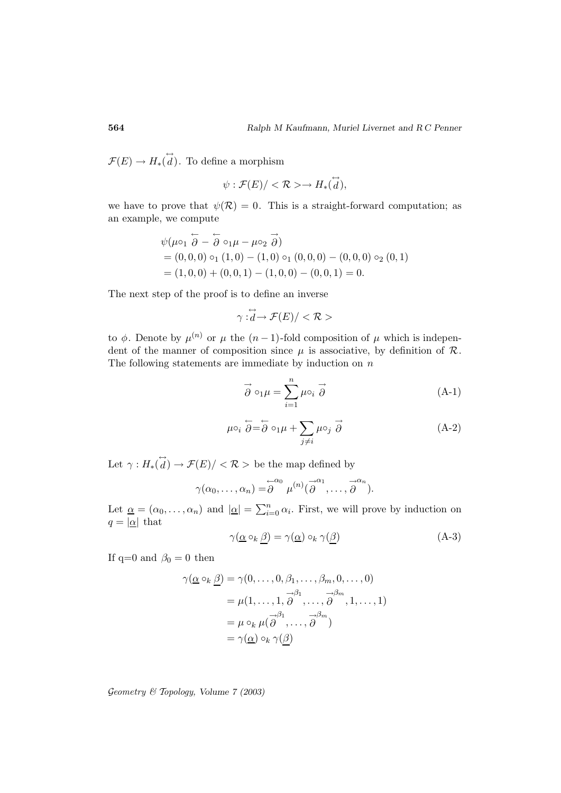$\mathcal{F}(E) \to H_*(\overleftrightarrow{d})$ . To define a morphism

$$
\psi : \mathcal{F}(E) / < \mathcal{R} > \rightarrow H_*(\overset{\leftrightarrow}{d}),
$$

we have to prove that  $\psi(\mathcal{R})=0$ . This is a straight-forward computation; as an example, we compute

$$
\psi(\mu \circ_1 \overleftarrow{\partial} - \overleftarrow{\partial} \circ_1 \mu - \mu \circ_2 \overrightarrow{\partial})
$$
  
= (0,0,0)  $\circ_1 (1,0) - (1,0) \circ_1 (0,0,0) - (0,0,0) \circ_2 (0,1)$   
= (1,0,0) + (0,0,1) - (1,0,0) - (0,0,1) = 0.

The next step of the proof is to define an inverse

$$
\gamma:\stackrel{\leftrightarrow}{d} \to \mathcal{F}(E)/<\mathcal{R}>
$$

to  $\phi$ . Denote by  $\mu^{(n)}$  or  $\mu$  the  $(n-1)$ -fold composition of  $\mu$  which is independent of the manner of composition since  $\mu$  is associative, by definition of  $\mathcal{R}$ .<br>The following statements are immediate by ind dent of the manner of composition since  $\mu$  is associative, by definition of  $\mathcal{R}$ . The following statements are immediate by induction on  $n$ 

$$
\vec{\partial} \circ_1 \mu = \sum_{i=1}^n \mu \circ_i \vec{\partial}
$$
\n(A-1)\n
$$
\vec{\partial} = \vec{\partial} \circ_1 \mu + \sum \mu \circ_j \vec{\partial}
$$
\n(A-2)

$$
\mu \circ_i \stackrel{\leftharpoonup}{\partial} = \stackrel{\leftharpoonup}{\partial} \circ_1 \mu + \sum_{j \neq i} \mu \circ_j \stackrel{\rightharpoonup}{\partial} \tag{A-2}
$$

Let  $\gamma: H_*(\overrightarrow{d}) \to \mathcal{F}(E) / <\mathcal{R}$  > be the map defined by Let  $\gamma: H_*(\vec{d}) \to \mathcal{F}(E) / <\mathcal{R} >$  be t<br>  $\gamma(\alpha_0, \dots, \alpha_n) = \overleftarrow{\mathcal{E}}$ <br>
Let  $\underline{\alpha} = (\alpha_0, \dots, \alpha_n)$  and  $|\underline{\alpha}| = \sum_{i=1}^n$ 

$$
\gamma(\alpha_0,\ldots,\alpha_n)=\stackrel{\leftarrow}{\partial}^{\alpha_0}\mu^{(n)}(\stackrel{\rightarrow}{\partial}^{\alpha_1},\ldots,\stackrel{\rightarrow}{\partial}^{\alpha_n}).
$$

Let  $\underline{\alpha}=(\alpha_0,\ldots,\alpha_n)$  and  $|\underline{\alpha}|=\sum_{i=0}^n\alpha_i$ . First, we will prove by induction on  $q = |\underline{\alpha}|$  that

$$
\gamma(\underline{\alpha} \circ_k \underline{\beta}) = \gamma(\underline{\alpha}) \circ_k \gamma(\underline{\beta}) \tag{A-3}
$$

If q=0 and  $\beta_0 = 0$  then

$$
\gamma(\underline{\alpha} \circ_k \underline{\beta}) = \gamma(0, \dots, 0, \beta_1, \dots, \beta_m, 0, \dots, 0)
$$
  
=  $\mu(1, \dots, 1, \overrightarrow{\partial}^1, \dots, \overrightarrow{\partial}^m, 1, \dots, 1)$   
=  $\mu \circ_k \mu(\overrightarrow{\partial}^1, \dots, \overrightarrow{\partial}^m)$   
=  $\gamma(\underline{\alpha}) \circ_k \gamma(\underline{\beta})$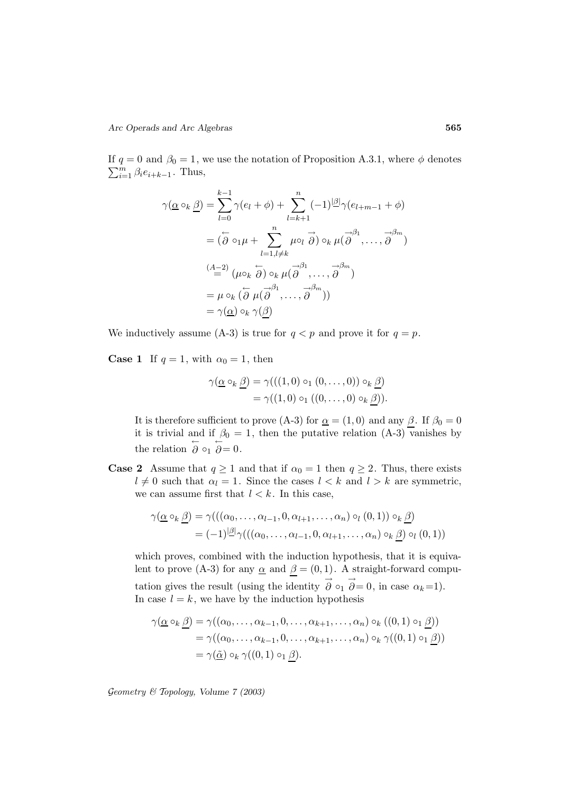If  $q = 0$  and  $\beta_0 = 1$ , we use the notation of Proposition A.3.1, where  $\phi$  denotes  $\sum_{i=1}^{m} \beta_i e_{i+k-1}$ . Thus,  $\beta_0 = 1$ , we use the notation of I<br>
-1. Thus,<br>  $\gamma(\underline{\alpha} \circ_k \underline{\beta}) = \sum_{l=1}^{k-1} \gamma(e_l + \phi) + \sum_{l=1}^{k}$ 

$$
\gamma(\underline{\alpha}\circ_k\underline{\beta}) = \sum_{l=0}^{k-1} \gamma(e_l + \phi) + \sum_{l=k+1}^n (-1)^{|\underline{\beta}|} \gamma(e_{l+m-1} + \phi)
$$
  

$$
= (\overleftarrow{\partial}\circ_1\mu + \sum_{l=1, l\neq k}^n \mu\circ_l \overrightarrow{\partial}) \circ_k \mu(\overrightarrow{\partial}^{l_1}, \dots, \overrightarrow{\partial}^{l_m})
$$
  

$$
\stackrel{(A-2)}{=} (\mu\circ_k \overleftarrow{\partial}) \circ_k \mu(\overrightarrow{\partial}^{l_1}, \dots, \overrightarrow{\partial}^{l_m})
$$
  

$$
= \mu \circ_k (\overleftarrow{\partial} \mu(\overrightarrow{\partial}^{l_1}, \dots, \overrightarrow{\partial}^{l_m}))
$$
  

$$
= \gamma(\underline{\alpha}) \circ_k \gamma(\beta)
$$

We inductively assume (A-3) is true for  $q < p$  and prove it for  $q = p$ .

**Case 1** If  $q = 1$ , with  $\alpha_0 = 1$ , then

$$
\gamma(\underline{\alpha} \circ_k \underline{\beta}) = \gamma(((1,0) \circ_1 (0,\ldots,0)) \circ_k \underline{\beta})
$$
  
= 
$$
\gamma((1,0) \circ_1 ((0,\ldots,0) \circ_k \beta)).
$$

It is therefore sufficient to prove (A-3) for  $\underline{\alpha} = (1, 0)$  and any  $\underline{\beta}$ . If  $\beta_0 = 0$ it is trivial and if  $\beta_0 = 1$ , then the putative relation (A-3) vanishes by the relation  $\stackrel{\leftarrow}{\partial} \circ_1 \stackrel{\leftarrow}{\partial} = 0$ .

**Case 2** Assume that  $q \ge 1$  and that if  $\alpha_0 = 1$  then  $q \ge 2$ . Thus, there exists  $l \neq 0$  such that  $\alpha_l = 1$ . Since the cases  $l < k$  and  $l > k$  are symmetric, we can assume first that  $l < k$ . In this case,

$$
\gamma(\underline{\alpha} \circ_k \underline{\beta}) = \gamma(((\alpha_0, \dots, \alpha_{l-1}, 0, \alpha_{l+1}, \dots, \alpha_n) \circ_l (0, 1)) \circ_k \underline{\beta})
$$
  
=  $(-1)^{|\underline{\beta}|} \gamma(((\alpha_0, \dots, \alpha_{l-1}, 0, \alpha_{l+1}, \dots, \alpha_n) \circ_k \underline{\beta}) \circ_l (0, 1))$ 

which proves, combined with the induction hypothesis, that it is equivalent to prove (A-3) for any  $\underline{\alpha}$  and  $\underline{\beta} = (0,1)$ . A straight-forward computation gives the result (using the identity  $\overrightarrow{\partial} \circ_1 \overrightarrow{\partial} = 0$ , in case  $\alpha_k = 1$ ). In case  $l = k$ , we have by the induction hypothesis

$$
\gamma(\underline{\alpha} \circ_k \underline{\beta}) = \gamma((\alpha_0, \dots, \alpha_{k-1}, 0, \dots, \alpha_{k+1}, \dots, \alpha_n) \circ_k ((0, 1) \circ_1 \underline{\beta}))
$$
  
=  $\gamma((\alpha_0, \dots, \alpha_{k-1}, 0, \dots, \alpha_{k+1}, \dots, \alpha_n) \circ_k \gamma((0, 1) \circ_1 \underline{\beta}))$   
=  $\gamma(\underline{\tilde{\alpha}}) \circ_k \gamma((0, 1) \circ_1 \beta).$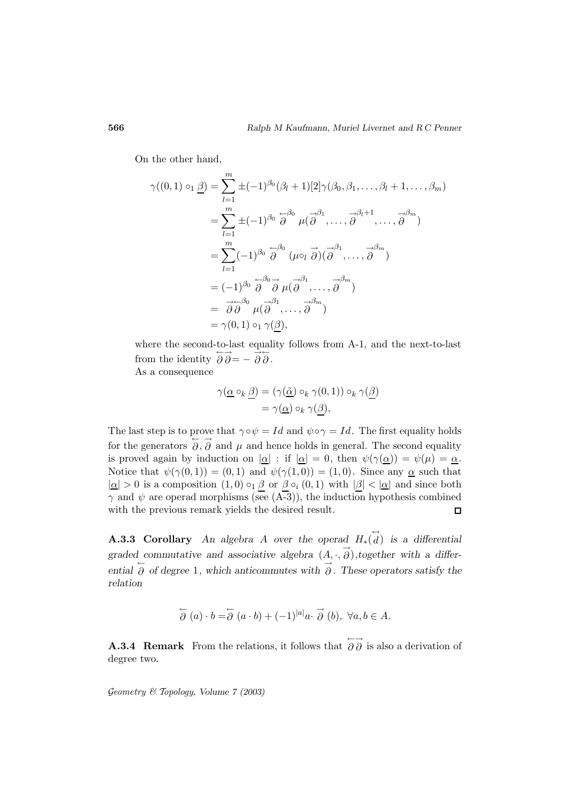On the other hand,

Aalph M Kaufmann, Murel Lvernet and RC Per  
\na the other hand,  
\n
$$
\gamma((0,1) \circ_1 \underline{\beta}) = \sum_{l=1}^m \pm (-1)^{\beta_0} (\beta_l + 1)[2] \gamma(\beta_0, \beta_1, ..., \beta_l + 1, ..., \beta_m)
$$
\n
$$
= \sum_{l=1}^m \pm (-1)^{\beta_0} \stackrel{\leftarrow}{\partial}^0 \mu(\stackrel{\rightarrow}{\partial}^1, ..., \stackrel{\rightarrow}{\partial}^{\beta_l+1}, ..., \stackrel{\rightarrow}{\partial}^{\beta_m})
$$
\n
$$
= \sum_{l=1}^m (-1)^{\beta_0} \stackrel{\leftarrow}{\partial}^0 (\mu \circ_l \stackrel{\rightarrow}{\partial})(\stackrel{\rightarrow}{\partial}^1, ..., \stackrel{\rightarrow}{\partial}^m)
$$
\n
$$
= (-1)^{\beta_0} \stackrel{\leftarrow}{\partial}^0 \stackrel{\rightarrow}{\partial} \mu(\stackrel{\rightarrow}{\partial}^1, ..., \stackrel{\rightarrow}{\partial}^m)
$$
\n
$$
= \stackrel{\rightarrow}{\partial} \stackrel{\leftarrow}{\partial}^0 \mu(\stackrel{\rightarrow}{\partial}^1, ..., \stackrel{\rightarrow}{\partial}^m)
$$
\n
$$
= \gamma(0,1) \circ_1 \gamma(\beta),
$$

where the second-to-last equality follows from A-1, and the next-to-last from the identity  $\overleftrightarrow{\partial}\overrightarrow{\partial}=-\overrightarrow{\partial}\overrightarrow{\partial}$ . As a consequence

$$
\gamma(\underline{\alpha} \circ_k \underline{\beta}) = (\gamma(\underline{\tilde{\alpha}}) \circ_k \gamma(0, 1)) \circ_k \gamma(\underline{\beta})
$$
  
=  $\gamma(\underline{\alpha}) \circ_k \gamma(\beta),$ 

The last step is to prove that  $\gamma \circ \psi = Id$  and  $\psi \circ \gamma = Id$ . The first equality holds for the generators  $\theta$ ,  $\theta$  and  $\mu$  and hence holds in general. The second equality is proved again by induction on  $|\alpha|$ : if  $|\alpha| = 0$ , then  $\psi(\gamma(\alpha)) = \psi(\mu) = \alpha$ . Notice that  $\psi(\gamma(0,1)) = (0,1)$  and  $\psi(\gamma(1,0)) = (1,0)$ . Since any  $\alpha$  such that  $|\alpha| > 0$  is a composition  $(1, 0) \circ_1 \beta$  or  $\beta \circ_i (0, 1)$  with  $|\beta| < |\alpha|$  and since both  $\gamma$  and  $\psi$  are operad morphisms (see (A-3)), the induction hypothesis combined with the previous remark yields the desired result.  $\Box$ 

**A.3.3 Corollary** An algebra A over the operad  $H_*(\vec{d})$  is a differential graded commutative and associative algebra  $(A, \cdot, \overrightarrow{\partial})$ , together with a differ*ential*  $\overleftrightarrow{\partial}$  *of degree* 1*, which anticommutes with*  $\overrightarrow{\partial}$ *. These operators satisfy the relation*

$$
\stackrel{\leftarrow}{\partial}(a)\cdot b = \stackrel{\leftarrow}{\partial}(a\cdot b) + (-1)^{|a|}a\cdot \stackrel{\rightarrow}{\partial}(b), \ \forall a, b \in A.
$$

**A.3.4 Remark** From the relations, it follows that  $\overleftrightarrow{\partial} \overrightarrow{\partial}$  is also a derivation of degree two.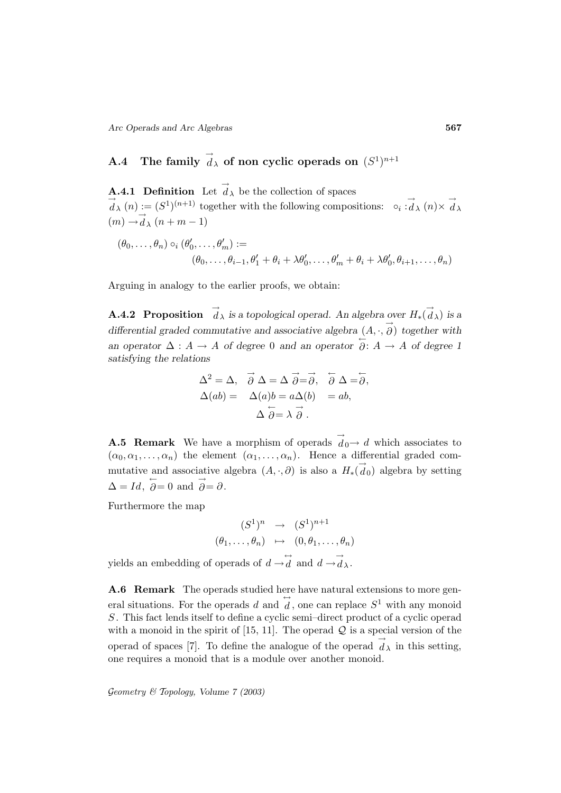# **A.4** The family  $\vec{d}_\lambda$  of non cyclic operads on  $(S^1)^{n+1}$

**A.4.1 Definition** Let  $\overrightarrow{d}_{\lambda}$  be the collection of spaces  $\vec{d}_{\lambda}(n) := (S^1)^{(n+1)}$  together with the following compositions:  $\circ_i : \vec{d}_{\lambda}(n) \times \vec{d}_{\lambda}$  $(m) \rightarrow d_{\lambda} (n+m-1)$ 

$$
(\theta_0, \ldots, \theta_n) \circ_i (\theta'_0, \ldots, \theta'_m) :=
$$
  

$$
(\theta_0, \ldots, \theta_{i-1}, \theta'_1 + \theta_i + \lambda \theta'_0, \ldots, \theta'_m + \theta_i + \lambda \theta'_0, \theta_{i+1}, \ldots, \theta_n)
$$

Arguing in analogy to the earlier proofs, we obtain:

**A.4.2 Proposition**  $\overrightarrow{d}_{\lambda}$  *is a topological operad. An algebra over*  $H_*(\overrightarrow{d}_{\lambda})$  *is a differential graded commutative and associative algebra*  $(A, \cdot, \overrightarrow{\partial})$  *together with an operator*  $\Delta: A \to A$  *of degree* 0 *and an operator*  $\overrightarrow{\partial}: A \to A$  *of degree* 1 *satisfying the relations*

$$
\Delta^{2} = \Delta, \quad \vec{\partial} \Delta = \Delta \overrightarrow{\partial} = \overrightarrow{\partial}, \quad \overleftarrow{\partial} \Delta = \overleftarrow{\partial},
$$

$$
\Delta(ab) = \Delta(a)b = a\Delta(b) = ab,
$$

$$
\Delta \overleftarrow{\partial} = \lambda \overrightarrow{\partial}.
$$

**A.5 Remark** We have a morphism of operads  $\overrightarrow{d}_0 \rightarrow d$  which associates to  $(\alpha_0, \alpha_1, \ldots, \alpha_n)$  the element  $(\alpha_1, \ldots, \alpha_n)$ . Hence a differential graded commutative and associative algebra  $(A, \cdot, \partial)$  is also a  $H_*(\vec{d}_0)$  algebra by setting  $\Delta = Id, \overleftarrow{\partial} = 0 \text{ and } \overrightarrow{\partial} = \partial.$ 

Furthermore the map

$$
(S1)n \rightarrow (S1)n+1
$$

$$
(\theta_1, \dots, \theta_n) \mapsto (0, \theta_1, \dots, \theta_n)
$$

yields an embedding of operads of  $d \rightarrow d \overrightarrow{d}$  and  $d \rightarrow d \overrightarrow{\lambda}$ .

**A.6 Remark** The operads studied here have natural extensions to more general situations. For the operads d and  $\overleftrightarrow{d}$ , one can replace  $S^1$  with any monoid S. This fact lends itself to define a cyclic semi–direct product of a cyclic operad with a monoid in the spirit of  $[15, 11]$ . The operad  $\mathcal Q$  is a special version of the operad of spaces [7]. To define the analogue of the operad  $\overrightarrow{d}_{\lambda}$  in this setting, one requires a monoid that is a module over another monoid.